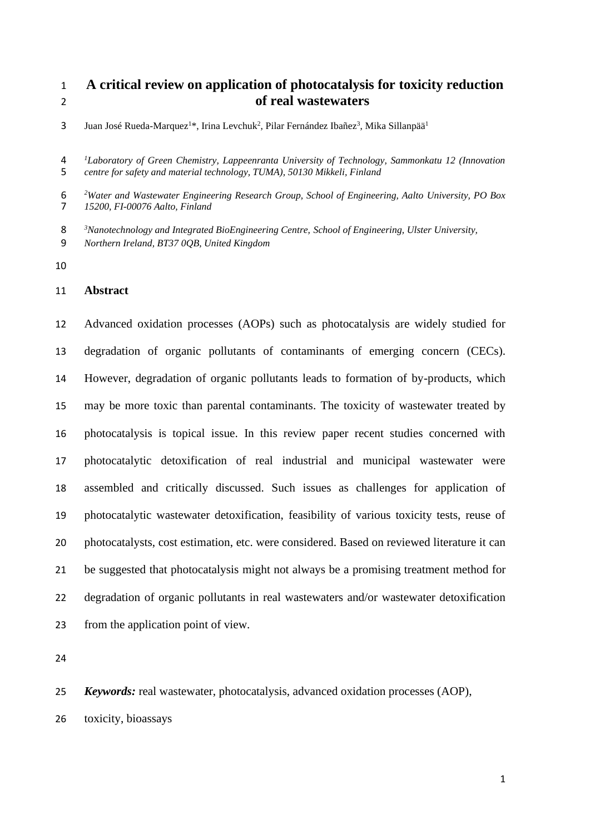# **A critical review on application of photocatalysis for toxicity reduction of real wastewaters**

- 3 Juan José Rueda-Marquez<sup>1\*</sup>, Irina Levchuk<sup>2</sup>, Pilar Fernández Ibañez<sup>3</sup>, Mika Sillanpää<sup>1</sup>
- *<sup>1</sup> Laboratory of Green Chemistry, Lappeenranta University of Technology, Sammonkatu 12 (Innovation centre for safety and material technology, TUMA), 50130 Mikkeli, Finland*

6<br>7 *Water and Wastewater Engineering Research Group, School of Engineering, Aalto University, PO Box 15200, FI-00076 Aalto, Finland*

- *<sup>3</sup> Nanotechnology and Integrated BioEngineering Centre, School of Engineering, Ulster University,*
- *Northern Ireland, BT37 0QB, United Kingdom*
- 

### **Abstract**

 Advanced oxidation processes (AOPs) such as photocatalysis are widely studied for degradation of organic pollutants of contaminants of emerging concern (CECs). However, degradation of organic pollutants leads to formation of by-products, which may be more toxic than parental contaminants. The toxicity of wastewater treated by photocatalysis is topical issue. In this review paper recent studies concerned with photocatalytic detoxification of real industrial and municipal wastewater were assembled and critically discussed. Such issues as challenges for application of photocatalytic wastewater detoxification, feasibility of various toxicity tests, reuse of photocatalysts, cost estimation, etc. were considered. Based on reviewed literature it can be suggested that photocatalysis might not always be a promising treatment method for degradation of organic pollutants in real wastewaters and/or wastewater detoxification from the application point of view.

*Keywords:* real wastewater, photocatalysis, advanced oxidation processes (AOP),

toxicity, bioassays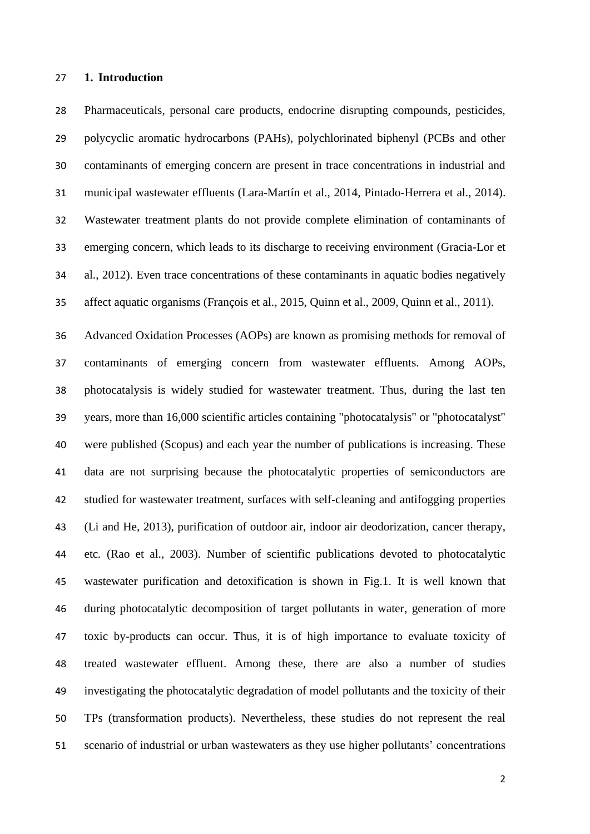### **1. Introduction**

 Pharmaceuticals, personal care products, endocrine disrupting compounds, pesticides, polycyclic aromatic hydrocarbons (PAHs), polychlorinated biphenyl (PCBs and other contaminants of emerging concern are present in trace concentrations in industrial and municipal wastewater effluents (Lara-Martín et al., 2014, Pintado-Herrera et al., 2014). Wastewater treatment plants do not provide complete elimination of contaminants of emerging concern, which leads to its discharge to receiving environment (Gracia-Lor et al., 2012). Even trace concentrations of these contaminants in aquatic bodies negatively affect aquatic organisms (François et al., 2015, Quinn et al., 2009, Quinn et al., 2011).

 Advanced Oxidation Processes (AOPs) are known as promising methods for removal of contaminants of emerging concern from wastewater effluents. Among AOPs, photocatalysis is widely studied for wastewater treatment. Thus, during the last ten years, more than 16,000 scientific articles containing "photocatalysis" or "photocatalyst" were published (Scopus) and each year the number of publications is increasing. These data are not surprising because the photocatalytic properties of semiconductors are studied for wastewater treatment, surfaces with self-cleaning and antifogging properties (Li and He, 2013), purification of outdoor air, indoor air deodorization, cancer therapy, etc*.* (Rao et al., 2003). Number of scientific publications devoted to photocatalytic wastewater purification and detoxification is shown in Fig.1. It is well known that during photocatalytic decomposition of target pollutants in water, generation of more toxic by-products can occur. Thus, it is of high importance to evaluate toxicity of treated wastewater effluent. Among these, there are also a number of studies investigating the photocatalytic degradation of model pollutants and the toxicity of their TPs (transformation products). Nevertheless, these studies do not represent the real scenario of industrial or urban wastewaters as they use higher pollutants' concentrations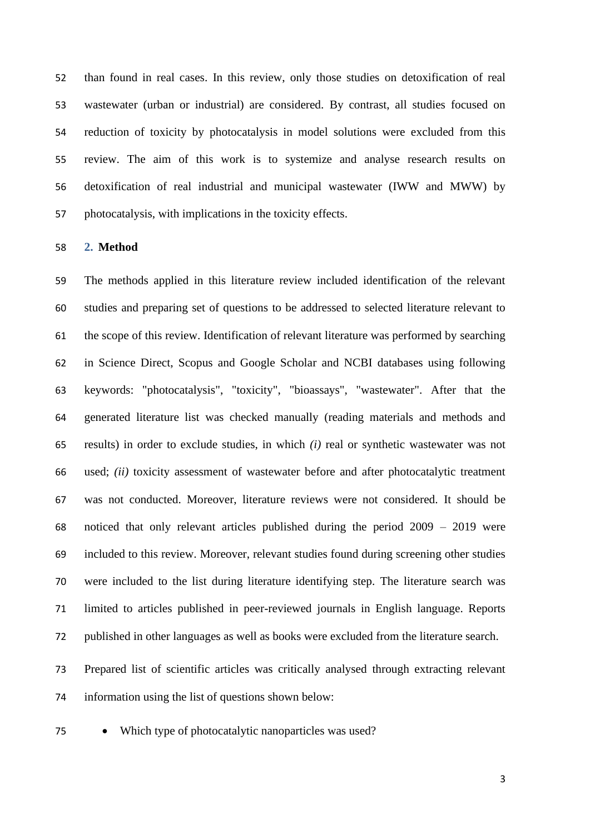than found in real cases. In this review, only those studies on detoxification of real wastewater (urban or industrial) are considered. By contrast, all studies focused on reduction of toxicity by photocatalysis in model solutions were excluded from this review. The aim of this work is to systemize and analyse research results on detoxification of real industrial and municipal wastewater (IWW and MWW) by photocatalysis, with implications in the toxicity effects.

**2. Method**

 The methods applied in this literature review included identification of the relevant studies and preparing set of questions to be addressed to selected literature relevant to the scope of this review. Identification of relevant literature was performed by searching in Science Direct, Scopus and Google Scholar and NCBI databases using following keywords: "photocatalysis", "toxicity", "bioassays", "wastewater". After that the generated literature list was checked manually (reading materials and methods and results) in order to exclude studies, in which *(i)* real or synthetic wastewater was not used; *(ii)* toxicity assessment of wastewater before and after photocatalytic treatment was not conducted. Moreover, literature reviews were not considered. It should be noticed that only relevant articles published during the period 2009 – 2019 were included to this review. Moreover, relevant studies found during screening other studies were included to the list during literature identifying step. The literature search was limited to articles published in peer-reviewed journals in English language. Reports published in other languages as well as books were excluded from the literature search.

 Prepared list of scientific articles was critically analysed through extracting relevant information using the list of questions shown below:

• Which type of photocatalytic nanoparticles was used?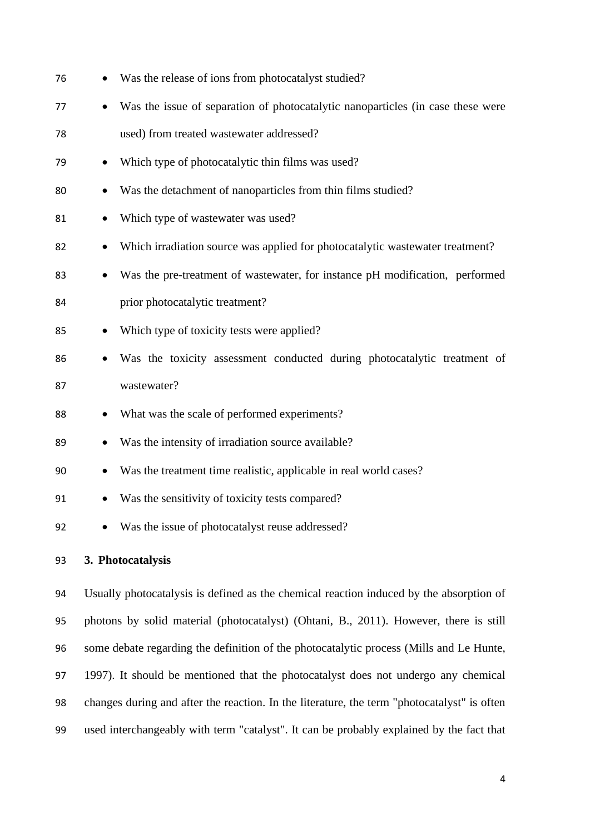| 76 |           | Was the release of ions from photocatalyst studied?                             |
|----|-----------|---------------------------------------------------------------------------------|
| 77 | $\bullet$ | Was the issue of separation of photocatalytic nanoparticles (in case these were |
| 78 |           | used) from treated wastewater addressed?                                        |
| 79 | $\bullet$ | Which type of photocatalytic thin films was used?                               |
| 80 |           | Was the detachment of nanoparticles from thin films studied?                    |
| 81 | $\bullet$ | Which type of wastewater was used?                                              |
| 82 | $\bullet$ | Which irradiation source was applied for photocatalytic wastewater treatment?   |
| 83 | $\bullet$ | Was the pre-treatment of wastewater, for instance pH modification, performed    |
| 84 |           | prior photocatalytic treatment?                                                 |
| 85 | $\bullet$ | Which type of toxicity tests were applied?                                      |
| 86 |           | Was the toxicity assessment conducted during photocatalytic treatment of        |
| 87 |           | wastewater?                                                                     |
| 88 | $\bullet$ | What was the scale of performed experiments?                                    |
| 89 | $\bullet$ | Was the intensity of irradiation source available?                              |
| 90 | $\bullet$ | Was the treatment time realistic, applicable in real world cases?               |
| 91 |           | Was the sensitivity of toxicity tests compared?                                 |
| 92 |           | Was the issue of photocatalyst reuse addressed?                                 |
|    |           |                                                                                 |

## **3. Photocatalysis**

 Usually photocatalysis is defined as the chemical reaction induced by the absorption of photons by solid material (photocatalyst) (Ohtani, B., 2011). However, there is still some debate regarding the definition of the photocatalytic process (Mills and Le Hunte, 1997). It should be mentioned that the photocatalyst does not undergo any chemical changes during and after the reaction. In the literature, the term "photocatalyst" is often used interchangeably with term "catalyst". It can be probably explained by the fact that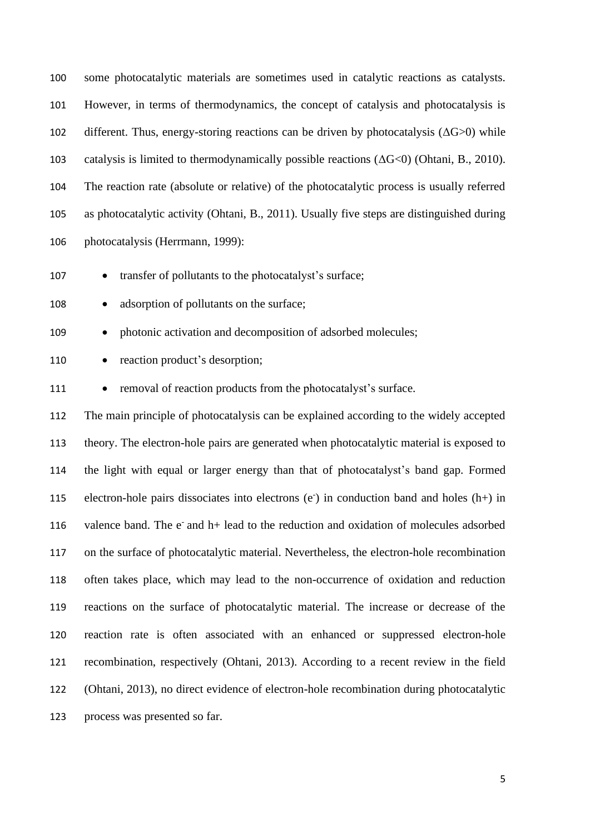some photocatalytic materials are sometimes used in catalytic reactions as catalysts. However, in terms of thermodynamics, the concept of catalysis and photocatalysis is 102 different. Thus, energy-storing reactions can be driven by photocatalysis  $( \Delta G > 0 )$  while catalysis is limited to thermodynamically possible reactions (ΔG<0) (Ohtani, B., 2010). The reaction rate (absolute or relative) of the photocatalytic process is usually referred as photocatalytic activity (Ohtani, B., 2011). Usually five steps are distinguished during photocatalysis (Herrmann, 1999):

• transfer of pollutants to the photocatalyst's surface;

108 • adsorption of pollutants on the surface;

109 • photonic activation and decomposition of adsorbed molecules;

110 • reaction product's desorption;

111 • removal of reaction products from the photocatalyst's surface.

 The main principle of photocatalysis can be explained according to the widely accepted theory. The electron-hole pairs are generated when photocatalytic material is exposed to the light with equal or larger energy than that of photocatalyst's band gap. Formed 115 electron-hole pairs dissociates into electrons  $(e<sup>z</sup>)$  in conduction band and holes  $(h+)$  in 116 valence band. The  $e^-$  and  $h$ + lead to the reduction and oxidation of molecules adsorbed on the surface of photocatalytic material. Nevertheless, the electron-hole recombination often takes place, which may lead to the non-occurrence of oxidation and reduction reactions on the surface of photocatalytic material. The increase or decrease of the reaction rate is often associated with an enhanced or suppressed electron-hole recombination, respectively (Ohtani, 2013). According to a recent review in the field (Ohtani, 2013), no direct evidence of electron-hole recombination during photocatalytic process was presented so far.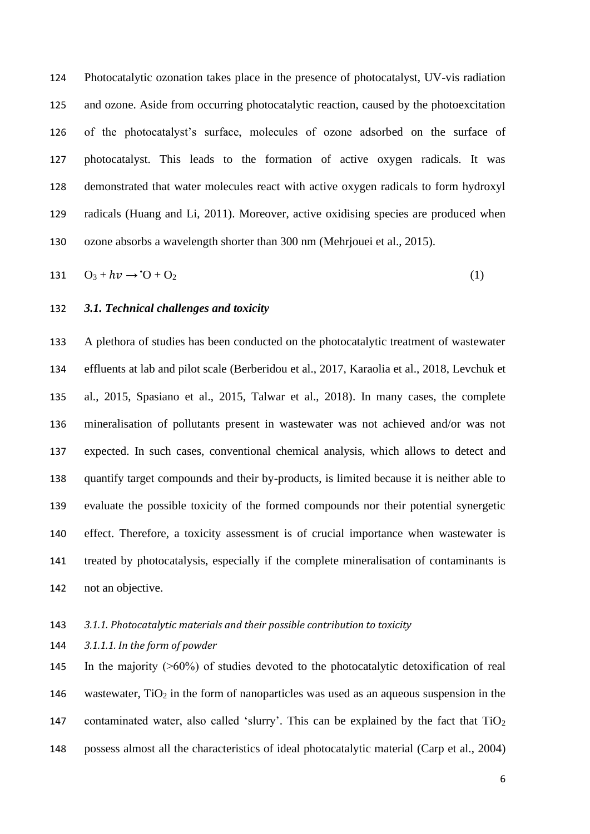Photocatalytic ozonation takes place in the presence of photocatalyst, UV-vis radiation and ozone. Aside from occurring photocatalytic reaction, caused by the photoexcitation of the photocatalyst's surface, molecules of ozone adsorbed on the surface of photocatalyst. This leads to the formation of active oxygen radicals. It was demonstrated that water molecules react with active oxygen radicals to form hydroxyl radicals (Huang and Li, 2011). Moreover, active oxidising species are produced when ozone absorbs a wavelength shorter than 300 nm (Mehrjouei et al., 2015).

$$
131 \tO_3 + hv \rightarrow O_1 + O_2 \t\t(1)
$$

### *3.1. Technical challenges and toxicity*

 A plethora of studies has been conducted on the photocatalytic treatment of wastewater effluents at lab and pilot scale (Berberidou et al., 2017, Karaolia et al., 2018, Levchuk et al., 2015, Spasiano et al., 2015, Talwar et al., 2018). In many cases, the complete mineralisation of pollutants present in wastewater was not achieved and/or was not expected. In such cases, conventional chemical analysis, which allows to detect and quantify target compounds and their by-products, is limited because it is neither able to evaluate the possible toxicity of the formed compounds nor their potential synergetic effect. Therefore, a toxicity assessment is of crucial importance when wastewater is treated by photocatalysis, especially if the complete mineralisation of contaminants is not an objective.

## *3.1.1. Photocatalytic materials and their possible contribution to toxicity*

*3.1.1.1. In the form of powder*

145 In the majority  $($  >60%) of studies devoted to the photocatalytic detoxification of real 146 wastewater,  $TiO<sub>2</sub>$  in the form of nanoparticles was used as an aqueous suspension in the 147 contaminated water, also called 'slurry'. This can be explained by the fact that  $TiO<sub>2</sub>$ possess almost all the characteristics of ideal photocatalytic material (Carp et al., 2004)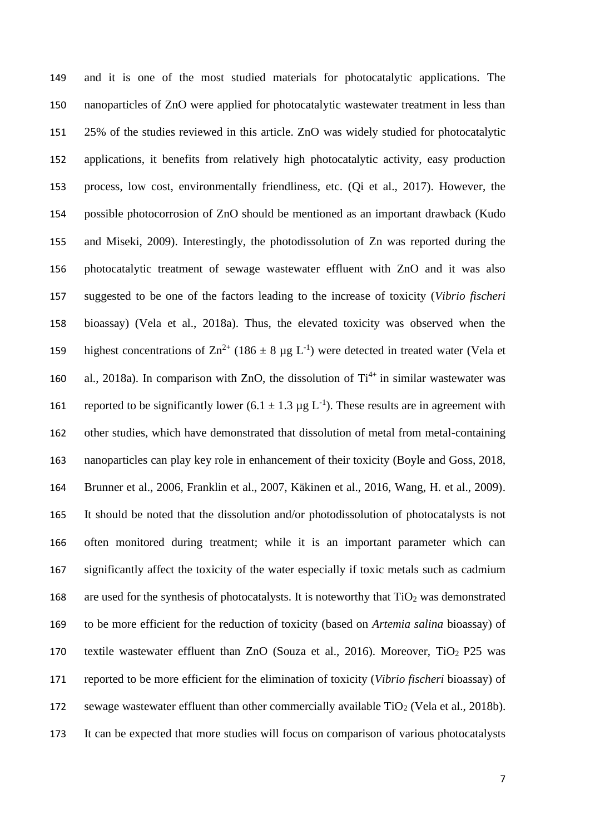and it is one of the most studied materials for photocatalytic applications. The nanoparticles of ZnO were applied for photocatalytic wastewater treatment in less than 25% of the studies reviewed in this article. ZnO was widely studied for photocatalytic applications, it benefits from relatively high photocatalytic activity, easy production process, low cost, environmentally friendliness, etc. (Qi et al., 2017). However, the possible photocorrosion of ZnO should be mentioned as an important drawback (Kudo and Miseki, 2009). Interestingly, the photodissolution of Zn was reported during the photocatalytic treatment of sewage wastewater effluent with ZnO and it was also suggested to be one of the factors leading to the increase of toxicity (*Vibrio fischeri*  bioassay) (Vela et al., 2018a). Thus, the elevated toxicity was observed when the 159 highest concentrations of  $\text{Zn}^{2+}$  (186  $\pm$  8 µg L<sup>-1</sup>) were detected in treated water (Vela et 160 al., 2018a). In comparison with ZnO, the dissolution of  $Ti^{4+}$  in similar wastewater was 161 reported to be significantly lower  $(6.1 \pm 1.3 \,\mu g \,L^{-1})$ . These results are in agreement with other studies, which have demonstrated that dissolution of metal from metal-containing nanoparticles can play key role in enhancement of their toxicity (Boyle and Goss, 2018, Brunner et al., 2006, Franklin et al., 2007, Käkinen et al., 2016, Wang, H. et al., 2009). It should be noted that the dissolution and/or photodissolution of photocatalysts is not often monitored during treatment; while it is an important parameter which can significantly affect the toxicity of the water especially if toxic metals such as cadmium 168 are used for the synthesis of photocatalysts. It is noteworthy that  $TiO<sub>2</sub>$  was demonstrated to be more efficient for the reduction of toxicity (based on *Artemia salina* bioassay) of 170 textile wastewater effluent than ZnO (Souza et al., 2016). Moreover,  $TiO<sub>2</sub>$  P25 was reported to be more efficient for the elimination of toxicity (*Vibrio fischeri* bioassay) of 172 sewage wastewater effluent than other commercially available  $TiO<sub>2</sub>$  (Vela et al., 2018b). It can be expected that more studies will focus on comparison of various photocatalysts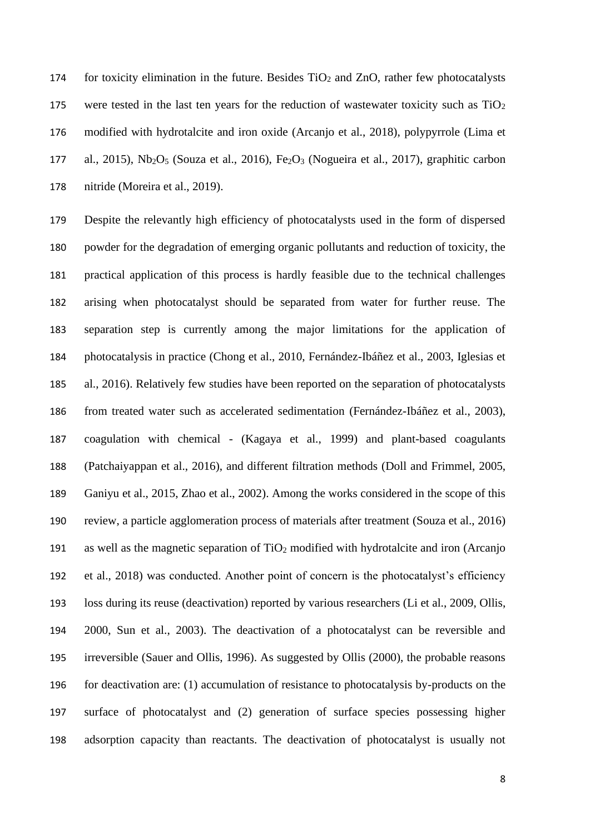174 for toxicity elimination in the future. Besides  $TiO<sub>2</sub>$  and  $ZnO$ , rather few photocatalysts 175 were tested in the last ten years for the reduction of wastewater toxicity such as  $TiO<sub>2</sub>$  modified with hydrotalcite and iron oxide (Arcanjo et al., 2018), polypyrrole (Lima et 177 al., 2015), Nb<sub>2</sub>O<sub>5</sub> (Souza et al., 2016), Fe<sub>2</sub>O<sub>3</sub> (Nogueira et al., 2017), graphitic carbon nitride (Moreira et al., 2019).

 Despite the relevantly high efficiency of photocatalysts used in the form of dispersed powder for the degradation of emerging organic pollutants and reduction of toxicity, the practical application of this process is hardly feasible due to the technical challenges arising when photocatalyst should be separated from water for further reuse. The separation step is currently among the major limitations for the application of photocatalysis in practice (Chong et al., 2010, Fernández-Ibáñez et al., 2003, Iglesias et al., 2016). Relatively few studies have been reported on the separation of photocatalysts from treated water such as accelerated sedimentation (Fernández-Ibáñez et al., 2003), coagulation with chemical - (Kagaya et al., 1999) and plant-based coagulants (Patchaiyappan et al., 2016), and different filtration methods (Doll and Frimmel, 2005, Ganiyu et al., 2015, Zhao et al., 2002). Among the works considered in the scope of this review, a particle agglomeration process of materials after treatment (Souza et al., 2016) as well as the magnetic separation of TiO<sup>2</sup> modified with hydrotalcite and iron (Arcanjo et al., 2018) was conducted. Another point of concern is the photocatalyst's efficiency loss during its reuse (deactivation) reported by various researchers (Li et al., 2009, Ollis, 2000, Sun et al., 2003). The deactivation of a photocatalyst can be reversible and irreversible (Sauer and Ollis, 1996). As suggested by Ollis (2000), the probable reasons for deactivation are: (1) accumulation of resistance to photocatalysis by-products on the surface of photocatalyst and (2) generation of surface species possessing higher adsorption capacity than reactants. The deactivation of photocatalyst is usually not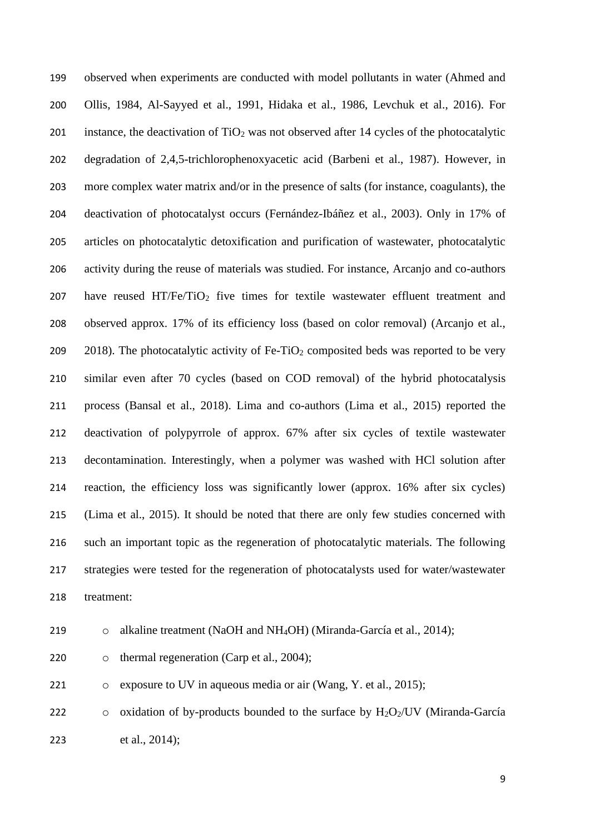observed when experiments are conducted with model pollutants in water (Ahmed and Ollis, 1984, Al-Sayyed et al., 1991, Hidaka et al., 1986, Levchuk et al., 2016). For 201 instance, the deactivation of  $TiO<sub>2</sub>$  was not observed after 14 cycles of the photocatalytic degradation of 2,4,5-trichlorophenoxyacetic acid (Barbeni et al., 1987). However, in more complex water matrix and/or in the presence of salts (for instance, coagulants), the deactivation of photocatalyst occurs (Fernández-Ibáñez et al., 2003). Only in 17% of articles on photocatalytic detoxification and purification of wastewater, photocatalytic activity during the reuse of materials was studied. For instance, Arcanjo and co-authors 207 have reused HT/Fe/TiO<sub>2</sub> five times for textile wastewater effluent treatment and observed approx. 17% of its efficiency loss (based on color removal) (Arcanjo et al., 209 2018). The photocatalytic activity of Fe-TiO<sub>2</sub> composited beds was reported to be very similar even after 70 cycles (based on COD removal) of the hybrid photocatalysis process (Bansal et al., 2018). Lima and co-authors (Lima et al., 2015) reported the deactivation of polypyrrole of approx. 67% after six cycles of textile wastewater decontamination. Interestingly, when a polymer was washed with HCl solution after reaction, the efficiency loss was significantly lower (approx. 16% after six cycles) (Lima et al., 2015). It should be noted that there are only few studies concerned with such an important topic as the regeneration of photocatalytic materials. The following strategies were tested for the regeneration of photocatalysts used for water/wastewater treatment:

219 o alkaline treatment (NaOH and NH<sub>4</sub>OH) (Miranda-García et al., 2014);

220 o thermal regeneration (Carp et al., 2004);

o exposure to UV in aqueous media or air (Wang, Y. et al., 2015);

222 o oxidation of by-products bounded to the surface by  $H_2O_2/UV$  (Miranda-García et al., 2014);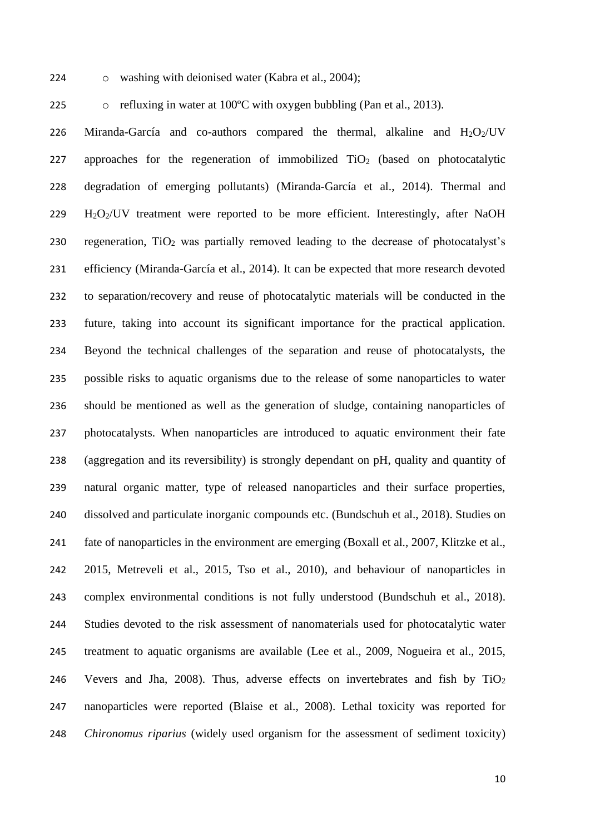o washing with deionised water (Kabra et al., 2004);

225 o refluxing in water at  $100^{\circ}$ C with oxygen bubbling (Pan et al., 2013).

226 Miranda-García and co-authors compared the thermal, alkaline and  $H_2O_2/UV$ 227 approaches for the regeneration of immobilized  $TiO<sub>2</sub>$  (based on photocatalytic degradation of emerging pollutants) (Miranda-García et al., 2014). Thermal and H2O2/UV treatment were reported to be more efficient. Interestingly, after NaOH 230 regeneration,  $TiO<sub>2</sub>$  was partially removed leading to the decrease of photocatalyst's efficiency (Miranda-García et al., 2014). It can be expected that more research devoted to separation/recovery and reuse of photocatalytic materials will be conducted in the future, taking into account its significant importance for the practical application. Beyond the technical challenges of the separation and reuse of photocatalysts, the possible risks to aquatic organisms due to the release of some nanoparticles to water should be mentioned as well as the generation of sludge, containing nanoparticles of photocatalysts. When nanoparticles are introduced to aquatic environment their fate (aggregation and its reversibility) is strongly dependant on pH, quality and quantity of natural organic matter, type of released nanoparticles and their surface properties, dissolved and particulate inorganic compounds etc. (Bundschuh et al., 2018). Studies on fate of nanoparticles in the environment are emerging (Boxall et al., 2007, Klitzke et al., 2015, Metreveli et al., 2015, Tso et al., 2010), and behaviour of nanoparticles in complex environmental conditions is not fully understood (Bundschuh et al., 2018). Studies devoted to the risk assessment of nanomaterials used for photocatalytic water treatment to aquatic organisms are available (Lee et al., 2009, Nogueira et al., 2015, Vevers and Jha, 2008). Thus, adverse effects on invertebrates and fish by TiO<sup>2</sup> nanoparticles were reported (Blaise et al., 2008). Lethal toxicity was reported for *Chironomus riparius* (widely used organism for the assessment of sediment toxicity)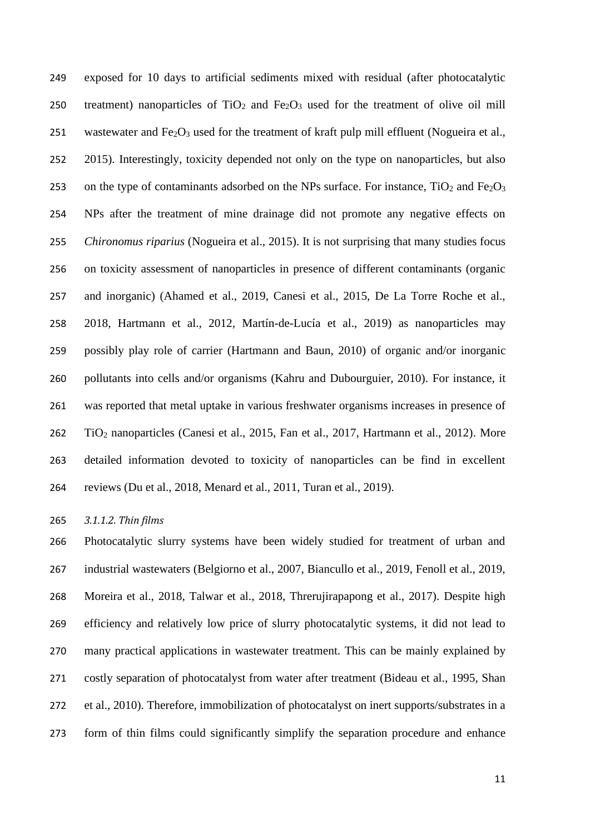exposed for 10 days to artificial sediments mixed with residual (after photocatalytic 250 treatment) nanoparticles of  $TiO<sub>2</sub>$  and  $Fe<sub>2</sub>O<sub>3</sub>$  used for the treatment of olive oil mill 251 wastewater and  $Fe<sub>2</sub>O<sub>3</sub>$  used for the treatment of kraft pulp mill effluent (Nogueira et al., 2015). Interestingly, toxicity depended not only on the type on nanoparticles, but also 253 on the type of contaminants adsorbed on the NPs surface. For instance,  $TiO<sub>2</sub>$  and Fe<sub>2</sub>O<sub>3</sub> NPs after the treatment of mine drainage did not promote any negative effects on *Chironomus riparius* (Nogueira et al., 2015). It is not surprising that many studies focus on toxicity assessment of nanoparticles in presence of different contaminants (organic and inorganic) (Ahamed et al., 2019, Canesi et al., 2015, De La Torre Roche et al., 2018, Hartmann et al., 2012, Martín-de-Lucía et al., 2019) as nanoparticles may possibly play role of carrier (Hartmann and Baun, 2010) of organic and/or inorganic pollutants into cells and/or organisms (Kahru and Dubourguier, 2010). For instance, it was reported that metal uptake in various freshwater organisms increases in presence of TiO<sup>2</sup> nanoparticles (Canesi et al., 2015, Fan et al., 2017, Hartmann et al., 2012). More detailed information devoted to toxicity of nanoparticles can be find in excellent reviews (Du et al., 2018, Menard et al., 2011, Turan et al., 2019).

*3.1.1.2. Thin films*

 Photocatalytic slurry systems have been widely studied for treatment of urban and industrial wastewaters (Belgiorno et al., 2007, Biancullo et al., 2019, Fenoll et al., 2019, Moreira et al., 2018, Talwar et al., 2018, Threrujirapapong et al., 2017). Despite high efficiency and relatively low price of slurry photocatalytic systems, it did not lead to many practical applications in wastewater treatment. This can be mainly explained by costly separation of photocatalyst from water after treatment (Bideau et al., 1995, Shan et al., 2010). Therefore, immobilization of photocatalyst on inert supports/substrates in a form of thin films could significantly simplify the separation procedure and enhance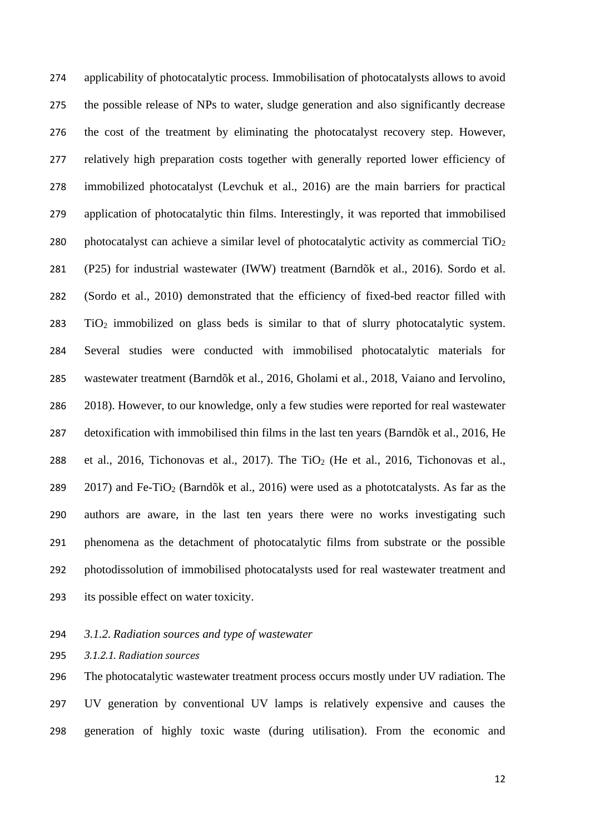applicability of photocatalytic process. Immobilisation of photocatalysts allows to avoid the possible release of NPs to water, sludge generation and also significantly decrease the cost of the treatment by eliminating the photocatalyst recovery step. However, relatively high preparation costs together with generally reported lower efficiency of immobilized photocatalyst (Levchuk et al., 2016) are the main barriers for practical application of photocatalytic thin films. Interestingly, it was reported that immobilised 280 photocatalyst can achieve a similar level of photocatalytic activity as commercial  $TiO<sub>2</sub>$  (P25) for industrial wastewater (IWW) treatment (Barndõk et al., 2016). Sordo et al. (Sordo et al., 2010) demonstrated that the efficiency of fixed-bed reactor filled with TiO<sup>2</sup> immobilized on glass beds is similar to that of slurry photocatalytic system. Several studies were conducted with immobilised photocatalytic materials for wastewater treatment (Barndõk et al., 2016, Gholami et al., 2018, Vaiano and Iervolino, 2018). However, to our knowledge, only a few studies were reported for real wastewater detoxification with immobilised thin films in the last ten years (Barndõk et al., 2016, He 288 et al., 2016, Tichonovas et al., 2017). The TiO<sub>2</sub> (He et al., 2016, Tichonovas et al., 289 2017) and Fe-TiO<sub>2</sub> (Barndõk et al., 2016) were used as a phototcatalysts. As far as the authors are aware, in the last ten years there were no works investigating such phenomena as the detachment of photocatalytic films from substrate or the possible photodissolution of immobilised photocatalysts used for real wastewater treatment and its possible effect on water toxicity.

- *3.1.2. Radiation sources and type of wastewater*
- *3.1.2.1. Radiation sources*

 The photocatalytic wastewater treatment process occurs mostly under UV radiation. The UV generation by conventional UV lamps is relatively expensive and causes the generation of highly toxic waste (during utilisation). From the economic and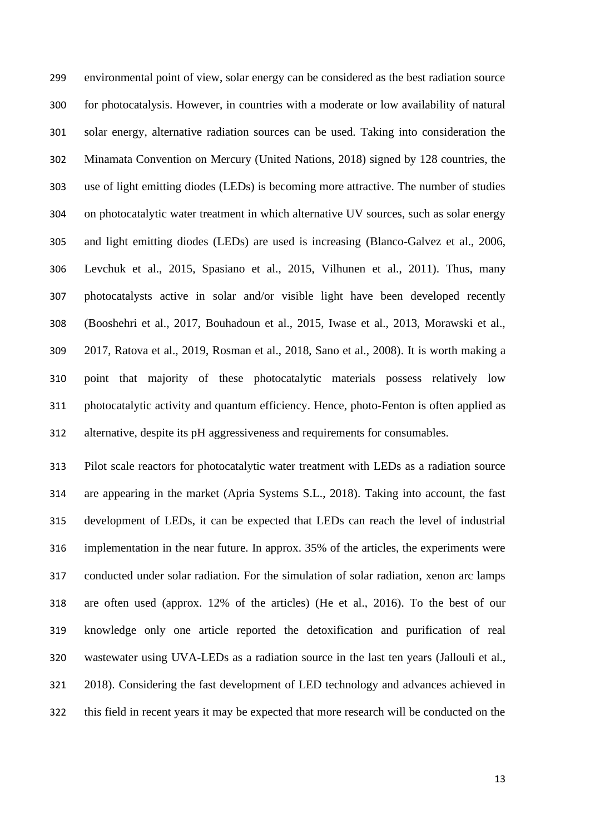environmental point of view, solar energy can be considered as the best radiation source for photocatalysis. However, in countries with a moderate or low availability of natural solar energy, alternative radiation sources can be used. Taking into consideration the Minamata Convention on Mercury (United Nations, 2018) signed by 128 countries, the use of light emitting diodes (LEDs) is becoming more attractive. The number of studies on photocatalytic water treatment in which alternative UV sources, such as solar energy and light emitting diodes (LEDs) are used is increasing (Blanco-Galvez et al., 2006, Levchuk et al., 2015, Spasiano et al., 2015, Vilhunen et al., 2011). Thus, many photocatalysts active in solar and/or visible light have been developed recently (Booshehri et al., 2017, Bouhadoun et al., 2015, Iwase et al., 2013, Morawski et al., 2017, Ratova et al., 2019, Rosman et al., 2018, Sano et al., 2008). It is worth making a point that majority of these photocatalytic materials possess relatively low photocatalytic activity and quantum efficiency. Hence, photo-Fenton is often applied as alternative, despite its pH aggressiveness and requirements for consumables.

 Pilot scale reactors for photocatalytic water treatment with LEDs as a radiation source are appearing in the market (Apria Systems S.L., 2018). Taking into account, the fast development of LEDs, it can be expected that LEDs can reach the level of industrial implementation in the near future. In approx. 35% of the articles, the experiments were conducted under solar radiation. For the simulation of solar radiation, xenon arc lamps are often used (approx. 12% of the articles) (He et al., 2016). To the best of our knowledge only one article reported the detoxification and purification of real wastewater using UVA-LEDs as a radiation source in the last ten years (Jallouli et al., 2018). Considering the fast development of LED technology and advances achieved in this field in recent years it may be expected that more research will be conducted on the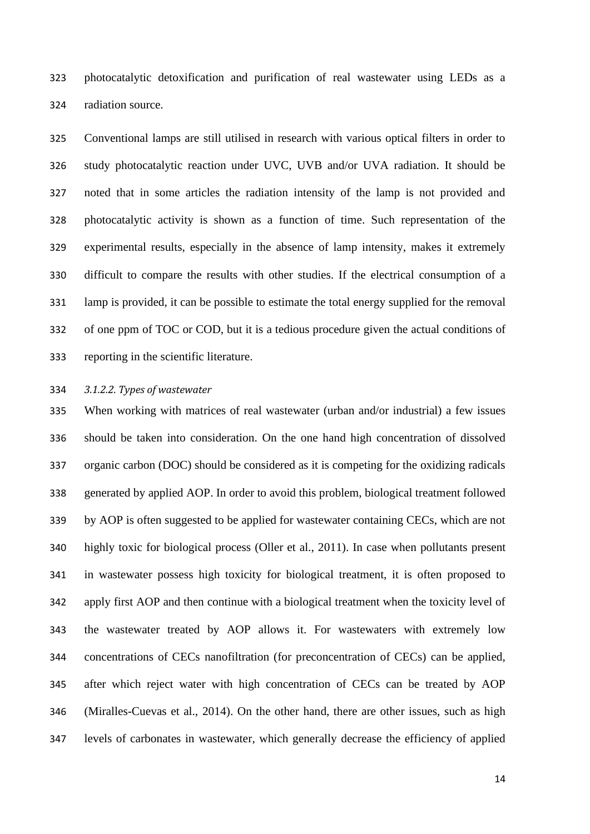photocatalytic detoxification and purification of real wastewater using LEDs as a radiation source.

 Conventional lamps are still utilised in research with various optical filters in order to study photocatalytic reaction under UVC, UVB and/or UVA radiation. It should be noted that in some articles the radiation intensity of the lamp is not provided and photocatalytic activity is shown as a function of time. Such representation of the experimental results, especially in the absence of lamp intensity, makes it extremely difficult to compare the results with other studies. If the electrical consumption of a lamp is provided, it can be possible to estimate the total energy supplied for the removal of one ppm of TOC or COD, but it is a tedious procedure given the actual conditions of reporting in the scientific literature.

### *3.1.2.2. Types of wastewater*

 When working with matrices of real wastewater (urban and/or industrial) a few issues should be taken into consideration. On the one hand high concentration of dissolved organic carbon (DOC) should be considered as it is competing for the oxidizing radicals generated by applied AOP. In order to avoid this problem, biological treatment followed by AOP is often suggested to be applied for wastewater containing CECs, which are not highly toxic for biological process (Oller et al., 2011). In case when pollutants present in wastewater possess high toxicity for biological treatment, it is often proposed to apply first AOP and then continue with a biological treatment when the toxicity level of the wastewater treated by AOP allows it. For wastewaters with extremely low concentrations of CECs nanofiltration (for preconcentration of CECs) can be applied, after which reject water with high concentration of CECs can be treated by AOP (Miralles-Cuevas et al., 2014). On the other hand, there are other issues, such as high levels of carbonates in wastewater, which generally decrease the efficiency of applied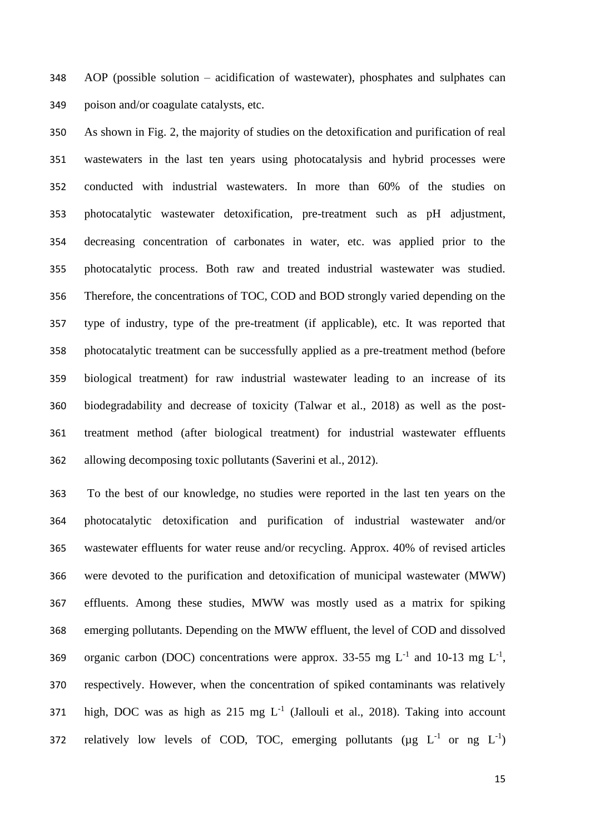AOP (possible solution – acidification of wastewater), phosphates and sulphates can poison and/or coagulate catalysts, etc.

 As shown in Fig. 2, the majority of studies on the detoxification and purification of real wastewaters in the last ten years using photocatalysis and hybrid processes were conducted with industrial wastewaters. In more than 60% of the studies on photocatalytic wastewater detoxification, pre-treatment such as pH adjustment, decreasing concentration of carbonates in water, etc. was applied prior to the photocatalytic process. Both raw and treated industrial wastewater was studied. Therefore, the concentrations of TOC, COD and BOD strongly varied depending on the type of industry, type of the pre-treatment (if applicable), etc. It was reported that photocatalytic treatment can be successfully applied as a pre-treatment method (before biological treatment) for raw industrial wastewater leading to an increase of its biodegradability and decrease of toxicity (Talwar et al., 2018) as well as the post- treatment method (after biological treatment) for industrial wastewater effluents allowing decomposing toxic pollutants (Saverini et al., 2012).

 To the best of our knowledge, no studies were reported in the last ten years on the photocatalytic detoxification and purification of industrial wastewater and/or wastewater effluents for water reuse and/or recycling. Approx. 40% of revised articles were devoted to the purification and detoxification of municipal wastewater (MWW) effluents. Among these studies, MWW was mostly used as a matrix for spiking emerging pollutants. Depending on the MWW effluent, the level of COD and dissolved 369 organic carbon (DOC) concentrations were approx. 33-55 mg  $L^{-1}$  and 10-13 mg  $L^{-1}$ , respectively. However, when the concentration of spiked contaminants was relatively 371 high, DOC was as high as  $215 \text{ mg } L^{-1}$  (Jallouli et al., 2018). Taking into account 372 relatively low levels of COD, TOC, emerging pollutants ( $\mu$ g L<sup>-1</sup> or ng L<sup>-1</sup>)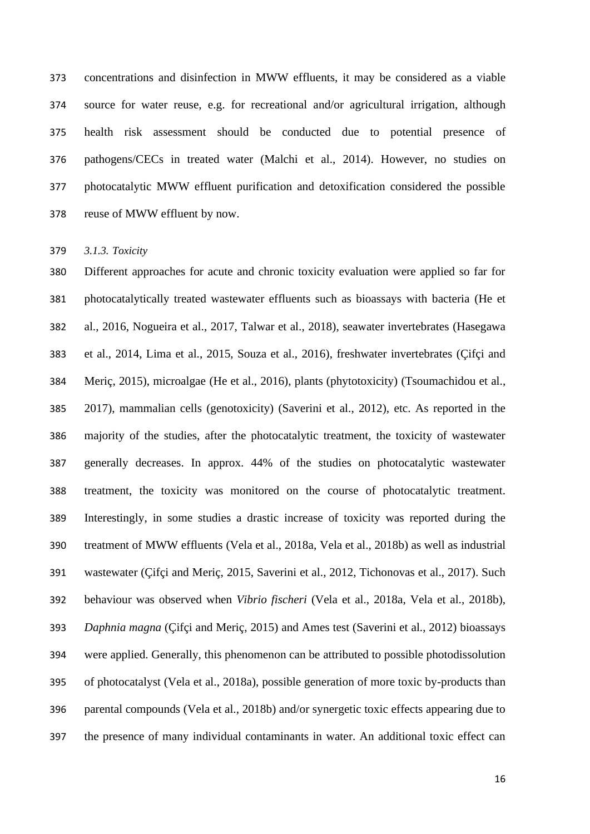concentrations and disinfection in MWW effluents, it may be considered as a viable source for water reuse, e.g. for recreational and/or agricultural irrigation, although health risk assessment should be conducted due to potential presence of pathogens/CECs in treated water (Malchi et al., 2014). However, no studies on photocatalytic MWW effluent purification and detoxification considered the possible reuse of MWW effluent by now.

*3.1.3. Toxicity*

 Different approaches for acute and chronic toxicity evaluation were applied so far for photocatalytically treated wastewater effluents such as bioassays with bacteria (He et al., 2016, Nogueira et al., 2017, Talwar et al., 2018), seawater invertebrates (Hasegawa et al., 2014, Lima et al., 2015, Souza et al., 2016), freshwater invertebrates (Çifçi and Meriç, 2015), microalgae (He et al., 2016), plants (phytotoxicity) (Tsoumachidou et al., 2017), mammalian cells (genotoxicity) (Saverini et al., 2012), etc. As reported in the majority of the studies, after the photocatalytic treatment, the toxicity of wastewater generally decreases. In approx. 44% of the studies on photocatalytic wastewater treatment, the toxicity was monitored on the course of photocatalytic treatment. Interestingly, in some studies a drastic increase of toxicity was reported during the treatment of MWW effluents (Vela et al., 2018a, Vela et al., 2018b) as well as industrial wastewater (Çifçi and Meriç, 2015, Saverini et al., 2012, Tichonovas et al., 2017). Such behaviour was observed when *Vibrio fischeri* (Vela et al., 2018a, Vela et al., 2018b), *Daphnia magna* (Çifçi and Meriç, 2015) and Ames test (Saverini et al., 2012) bioassays were applied. Generally, this phenomenon can be attributed to possible photodissolution of photocatalyst (Vela et al., 2018a), possible generation of more toxic by-products than parental compounds (Vela et al., 2018b) and/or synergetic toxic effects appearing due to the presence of many individual contaminants in water. An additional toxic effect can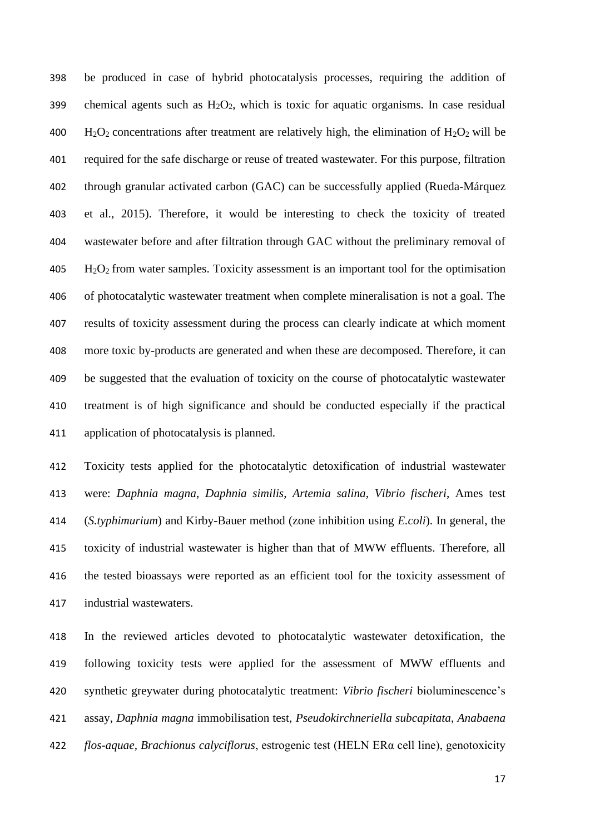be produced in case of hybrid photocatalysis processes, requiring the addition of 399 chemical agents such as  $H_2O_2$ , which is toxic for aquatic organisms. In case residual  $H_2O_2$  concentrations after treatment are relatively high, the elimination of  $H_2O_2$  will be required for the safe discharge or reuse of treated wastewater. For this purpose, filtration through granular activated carbon (GAC) can be successfully applied (Rueda-Márquez et al., 2015). Therefore, it would be interesting to check the toxicity of treated wastewater before and after filtration through GAC without the preliminary removal of H2O2 from water samples. Toxicity assessment is an important tool for the optimisation of photocatalytic wastewater treatment when complete mineralisation is not a goal. The results of toxicity assessment during the process can clearly indicate at which moment more toxic by-products are generated and when these are decomposed. Therefore, it can be suggested that the evaluation of toxicity on the course of photocatalytic wastewater treatment is of high significance and should be conducted especially if the practical application of photocatalysis is planned.

 Toxicity tests applied for the photocatalytic detoxification of industrial wastewater were: *Daphnia magna*, *Daphnia similis*, *Artemia salina*, *Vibrio fischeri*, Ames test (*S.typhimurium*) and Kirby-Bauer method (zone inhibition using *E.coli*). In general, the toxicity of industrial wastewater is higher than that of MWW effluents. Therefore, all the tested bioassays were reported as an efficient tool for the toxicity assessment of industrial wastewaters.

 In the reviewed articles devoted to photocatalytic wastewater detoxification, the following toxicity tests were applied for the assessment of MWW effluents and synthetic greywater during photocatalytic treatment: *Vibrio fischeri* bioluminescence's assay, *Daphnia magna* immobilisation test, *Pseudokirchneriella subcapitata*, *Anabaena flos-aquae*, *Brachionus calyciflorus*, estrogenic test (HELN ERα cell line), genotoxicity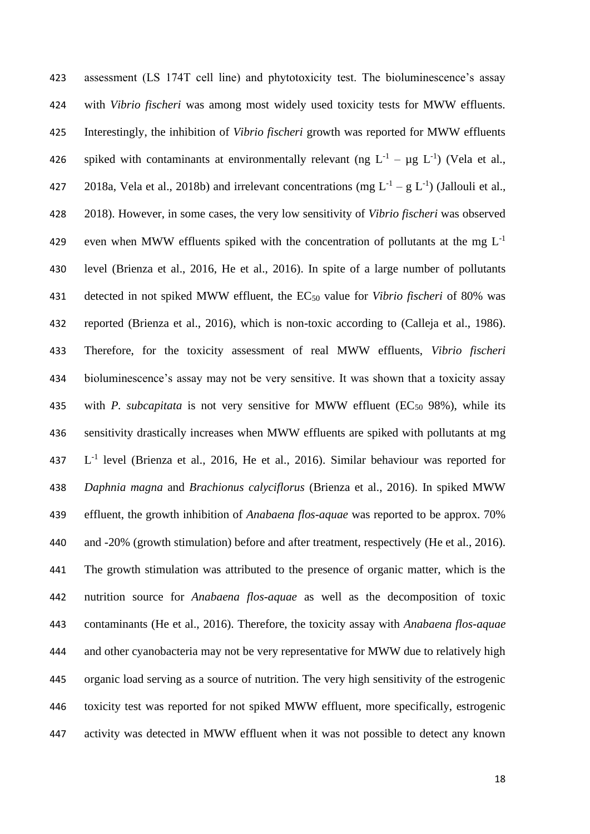assessment (LS 174T cell line) and phytotoxicity test. The bioluminescence's assay with *Vibrio fischeri* was among most widely used toxicity tests for MWW effluents. Interestingly, the inhibition of *Vibrio fischeri* growth was reported for MWW effluents 426 spiked with contaminants at environmentally relevant (ng  $L^{-1} - \mu g L^{-1}$ ) (Vela et al., 427 2018a, Vela et al., 2018b) and irrelevant concentrations (mg  $L^{-1} - g L^{-1}$ ) (Jallouli et al., 2018). However, in some cases, the very low sensitivity of *Vibrio fischeri* was observed even when MWW effluents spiked with the concentration of pollutants at the mg  $L^{-1}$  level (Brienza et al., 2016, He et al., 2016). In spite of a large number of pollutants detected in not spiked MWW effluent, the EC<sup>50</sup> value for *Vibrio fischeri* of 80% was reported (Brienza et al., 2016), which is non-toxic according to (Calleja et al., 1986). Therefore, for the toxicity assessment of real MWW effluents, *Vibrio fischeri* bioluminescence's assay may not be very sensitive. It was shown that a toxicity assay 435 with *P. subcapitata* is not very sensitive for MWW effluent (EC<sub>50</sub> 98%), while its sensitivity drastically increases when MWW effluents are spiked with pollutants at mg 437 L<sup>-1</sup> level (Brienza et al., 2016, He et al., 2016). Similar behaviour was reported for *Daphnia magna* and *Brachionus calyciflorus* (Brienza et al., 2016). In spiked MWW effluent, the growth inhibition of *Anabaena flos-aquae* was reported to be approx. 70% and -20% (growth stimulation) before and after treatment, respectively (He et al., 2016). The growth stimulation was attributed to the presence of organic matter, which is the nutrition source for *Anabaena flos-aquae* as well as the decomposition of toxic contaminants (He et al., 2016). Therefore, the toxicity assay with *Anabaena flos-aquae* and other cyanobacteria may not be very representative for MWW due to relatively high organic load serving as a source of nutrition. The very high sensitivity of the estrogenic toxicity test was reported for not spiked MWW effluent, more specifically, estrogenic activity was detected in MWW effluent when it was not possible to detect any known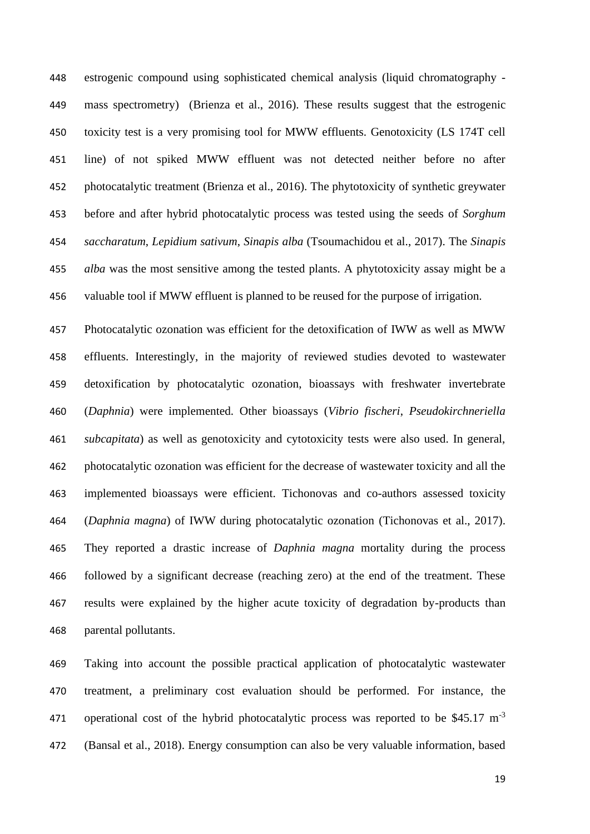estrogenic compound using sophisticated chemical analysis (liquid chromatography - mass spectrometry) (Brienza et al., 2016). These results suggest that the estrogenic toxicity test is a very promising tool for MWW effluents. Genotoxicity (LS 174T cell line) of not spiked MWW effluent was not detected neither before no after photocatalytic treatment (Brienza et al., 2016). The phytotoxicity of synthetic greywater before and after hybrid photocatalytic process was tested using the seeds of *Sorghum saccharatum*, *Lepidium sativum*, *Sinapis alba* (Tsoumachidou et al., 2017). The *Sinapis alba* was the most sensitive among the tested plants. A phytotoxicity assay might be a valuable tool if MWW effluent is planned to be reused for the purpose of irrigation.

 Photocatalytic ozonation was efficient for the detoxification of IWW as well as MWW effluents. Interestingly, in the majority of reviewed studies devoted to wastewater detoxification by photocatalytic ozonation, bioassays with freshwater invertebrate (*Daphnia*) were implemented. Other bioassays (*Vibrio fischeri*, *Pseudokirchneriella subcapitata*) as well as genotoxicity and cytotoxicity tests were also used. In general, photocatalytic ozonation was efficient for the decrease of wastewater toxicity and all the implemented bioassays were efficient. Tichonovas and co-authors assessed toxicity (*Daphnia magna*) of IWW during photocatalytic ozonation (Tichonovas et al., 2017). They reported a drastic increase of *Daphnia magna* mortality during the process followed by a significant decrease (reaching zero) at the end of the treatment. These results were explained by the higher acute toxicity of degradation by-products than parental pollutants.

 Taking into account the possible practical application of photocatalytic wastewater treatment, a preliminary cost evaluation should be performed. For instance, the operational cost of the hybrid photocatalytic process was reported to be \$45.17 m-3 (Bansal et al., 2018). Energy consumption can also be very valuable information, based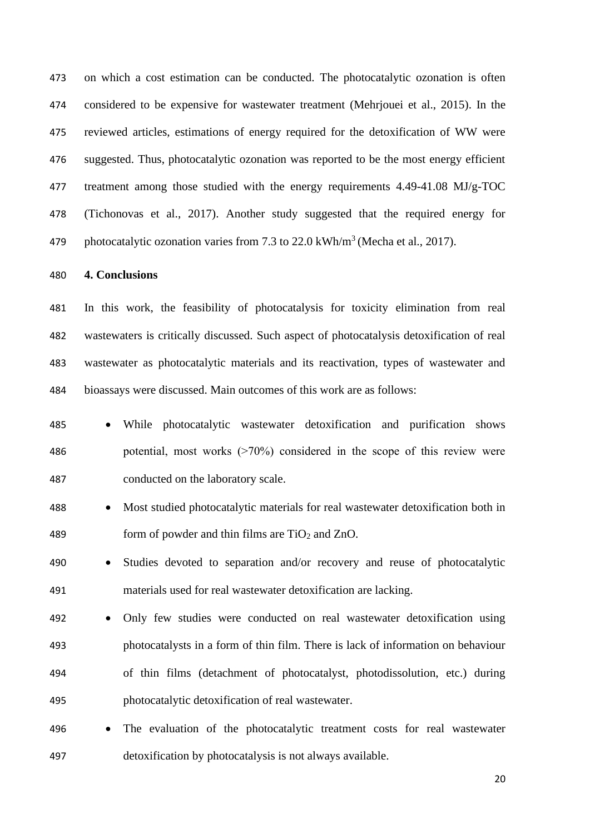on which a cost estimation can be conducted. The photocatalytic ozonation is often considered to be expensive for wastewater treatment (Mehrjouei et al., 2015). In the reviewed articles, estimations of energy required for the detoxification of WW were suggested. Thus, photocatalytic ozonation was reported to be the most energy efficient treatment among those studied with the energy requirements 4.49-41.08 MJ/g-TOC (Tichonovas et al., 2017). Another study suggested that the required energy for 479 photocatalytic ozonation varies from 7.3 to 22.0 kWh/m<sup>3</sup> (Mecha et al., 2017).

### **4. Conclusions**

 In this work, the feasibility of photocatalysis for toxicity elimination from real wastewaters is critically discussed. Such aspect of photocatalysis detoxification of real wastewater as photocatalytic materials and its reactivation, types of wastewater and bioassays were discussed. Main outcomes of this work are as follows:

- While photocatalytic wastewater detoxification and purification shows 486 potential, most works  $(270\%)$  considered in the scope of this review were conducted on the laboratory scale.
- Most studied photocatalytic materials for real wastewater detoxification both in 489 form of powder and thin films are  $TiO<sub>2</sub>$  and  $ZnO$ .
- Studies devoted to separation and/or recovery and reuse of photocatalytic materials used for real wastewater detoxification are lacking.
- Only few studies were conducted on real wastewater detoxification using photocatalysts in a form of thin film. There is lack of information on behaviour of thin films (detachment of photocatalyst, photodissolution, etc.) during photocatalytic detoxification of real wastewater.
- The evaluation of the photocatalytic treatment costs for real wastewater detoxification by photocatalysis is not always available.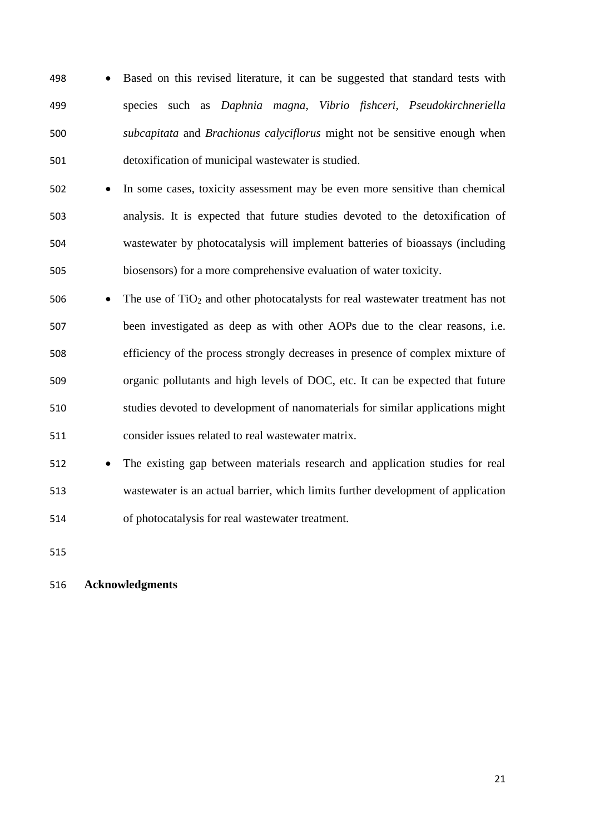- Based on this revised literature, it can be suggested that standard tests with species such as *Daphnia magna*, *Vibrio fishceri, Pseudokirchneriella subcapitata* and *Brachionus calyciflorus* might not be sensitive enough when detoxification of municipal wastewater is studied.
- In some cases, toxicity assessment may be even more sensitive than chemical analysis. It is expected that future studies devoted to the detoxification of wastewater by photocatalysis will implement batteries of bioassays (including biosensors) for a more comprehensive evaluation of water toxicity.
- 506 The use of  $TiO<sub>2</sub>$  and other photocatalysts for real wastewater treatment has not been investigated as deep as with other AOPs due to the clear reasons, i.e. efficiency of the process strongly decreases in presence of complex mixture of organic pollutants and high levels of DOC, etc. It can be expected that future studies devoted to development of nanomaterials for similar applications might consider issues related to real wastewater matrix.

 • The existing gap between materials research and application studies for real wastewater is an actual barrier, which limits further development of application of photocatalysis for real wastewater treatment.

## **Acknowledgments**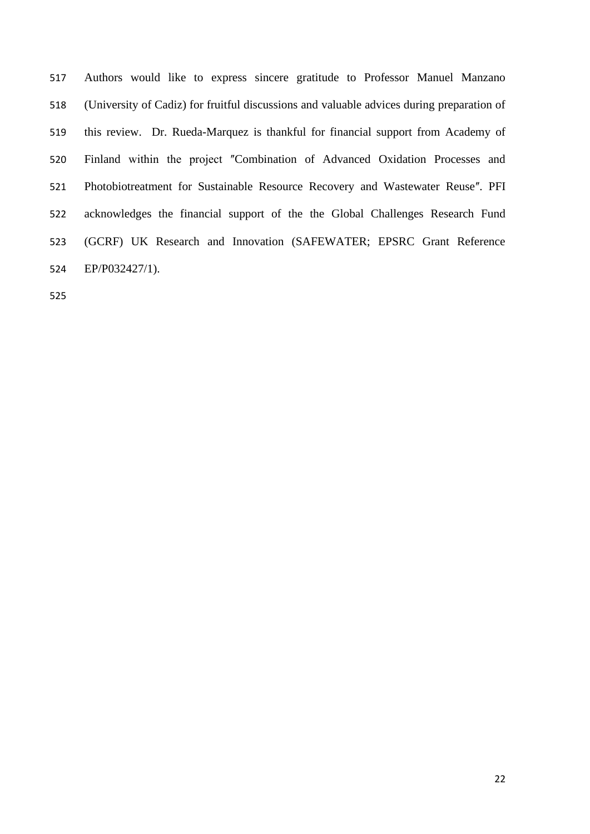Authors would like to express sincere gratitude to Professor Manuel Manzano (University of Cadiz) for fruitful discussions and valuable advices during preparation of this review. Dr. Rueda-Marquez is thankful for financial support from Academy of 520 Finland within the project "Combination of Advanced Oxidation Processes and 521 Photobiotreatment for Sustainable Resource Recovery and Wastewater Reuse". PFI acknowledges the financial support of the the Global Challenges Research Fund (GCRF) UK Research and Innovation (SAFEWATER; EPSRC Grant Reference EP/P032427/1).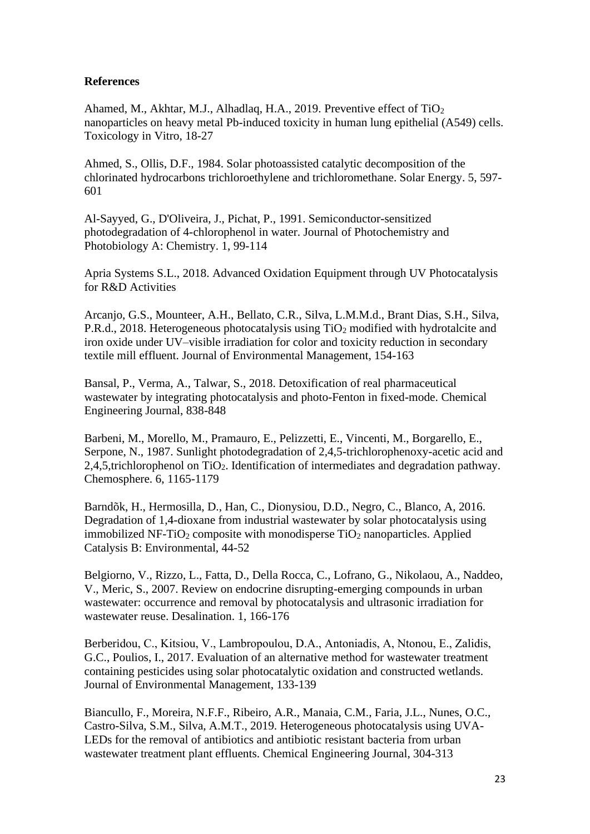## **References**

Ahamed, M., Akhtar, M.J., Alhadlaq, H.A., 2019. Preventive effect of TiO<sup>2</sup> nanoparticles on heavy metal Pb-induced toxicity in human lung epithelial (A549) cells. Toxicology in Vitro, 18-27

Ahmed, S., Ollis, D.F., 1984. Solar photoassisted catalytic decomposition of the chlorinated hydrocarbons trichloroethylene and trichloromethane. Solar Energy. 5, 597- 601

Al-Sayyed, G., D'Oliveira, J., Pichat, P., 1991. Semiconductor-sensitized photodegradation of 4-chlorophenol in water. Journal of Photochemistry and Photobiology A: Chemistry. 1, 99-114

Apria Systems S.L., 2018. Advanced Oxidation Equipment through UV Photocatalysis for R&D Activities

Arcanjo, G.S., Mounteer, A.H., Bellato, C.R., Silva, L.M.M.d., Brant Dias, S.H., Silva, P.R.d., 2018. Heterogeneous photocatalysis using TiO<sub>2</sub> modified with hydrotalcite and iron oxide under UV–visible irradiation for color and toxicity reduction in secondary textile mill effluent. Journal of Environmental Management, 154-163

Bansal, P., Verma, A., Talwar, S., 2018. Detoxification of real pharmaceutical wastewater by integrating photocatalysis and photo-Fenton in fixed-mode. Chemical Engineering Journal, 838-848

Barbeni, M., Morello, M., Pramauro, E., Pelizzetti, E., Vincenti, M., Borgarello, E., Serpone, N., 1987. Sunlight photodegradation of 2,4,5-trichlorophenoxy-acetic acid and 2,4,5,trichlorophenol on TiO2. Identification of intermediates and degradation pathway. Chemosphere. 6, 1165-1179

Barndõk, H., Hermosilla, D., Han, C., Dionysiou, D.D., Negro, C., Blanco, A, 2016. Degradation of 1,4-dioxane from industrial wastewater by solar photocatalysis using immobilized NF-TiO<sub>2</sub> composite with monodisperse  $TiO<sub>2</sub>$  nanoparticles. Applied Catalysis B: Environmental, 44-52

Belgiorno, V., Rizzo, L., Fatta, D., Della Rocca, C., Lofrano, G., Nikolaou, A., Naddeo, V., Meric, S., 2007. Review on endocrine disrupting-emerging compounds in urban wastewater: occurrence and removal by photocatalysis and ultrasonic irradiation for wastewater reuse. Desalination. 1, 166-176

Berberidou, C., Kitsiou, V., Lambropoulou, D.A., Antoniadis, Α, Ntonou, E., Zalidis, G.C., Poulios, I., 2017. Evaluation of an alternative method for wastewater treatment containing pesticides using solar photocatalytic oxidation and constructed wetlands. Journal of Environmental Management, 133-139

Biancullo, F., Moreira, N.F.F., Ribeiro, A.R., Manaia, C.M., Faria, J.L., Nunes, O.C., Castro-Silva, S.M., Silva, A.M.T., 2019. Heterogeneous photocatalysis using UVA-LEDs for the removal of antibiotics and antibiotic resistant bacteria from urban wastewater treatment plant effluents. Chemical Engineering Journal, 304-313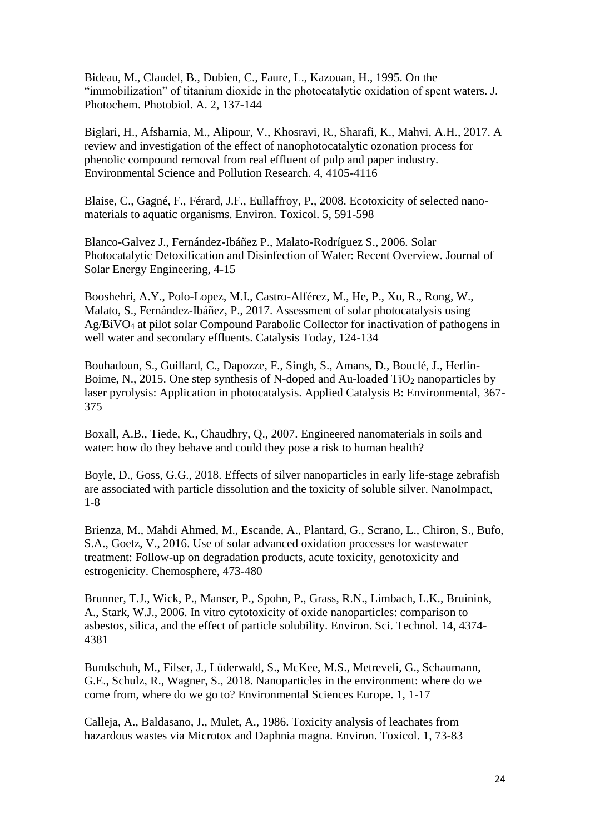Bideau, M., Claudel, B., Dubien, C., Faure, L., Kazouan, H., 1995. On the "immobilization" of titanium dioxide in the photocatalytic oxidation of spent waters. J. Photochem. Photobiol. A. 2, 137-144

Biglari, H., Afsharnia, M., Alipour, V., Khosravi, R., Sharafi, K., Mahvi, A.H., 2017. A review and investigation of the effect of nanophotocatalytic ozonation process for phenolic compound removal from real effluent of pulp and paper industry. Environmental Science and Pollution Research. 4, 4105-4116

Blaise, C., Gagné, F., Férard, J.F., Eullaffroy, P., 2008. Ecotoxicity of selected nanomaterials to aquatic organisms. Environ. Toxicol. 5, 591-598

Blanco-Galvez J., Fernández-Ibáñez P., Malato-Rodríguez S., 2006. Solar Photocatalytic Detoxification and Disinfection of Water: Recent Overview. Journal of Solar Energy Engineering, 4-15

Booshehri, A.Y., Polo-Lopez, M.I., Castro-Alférez, M., He, P., Xu, R., Rong, W., Malato, S., Fernández-Ibáñez, P., 2017. Assessment of solar photocatalysis using Ag/BiVO<sup>4</sup> at pilot solar Compound Parabolic Collector for inactivation of pathogens in well water and secondary effluents. Catalysis Today, 124-134

Bouhadoun, S., Guillard, C., Dapozze, F., Singh, S., Amans, D., Bouclé, J., Herlin-Boime, N., 2015. One step synthesis of N-doped and Au-loaded TiO<sub>2</sub> nanoparticles by laser pyrolysis: Application in photocatalysis. Applied Catalysis B: Environmental, 367- 375

Boxall, A.B., Tiede, K., Chaudhry, Q., 2007. Engineered nanomaterials in soils and water: how do they behave and could they pose a risk to human health?

Boyle, D., Goss, G.G., 2018. Effects of silver nanoparticles in early life-stage zebrafish are associated with particle dissolution and the toxicity of soluble silver. NanoImpact, 1-8

Brienza, M., Mahdi Ahmed, M., Escande, A., Plantard, G., Scrano, L., Chiron, S., Bufo, S.A., Goetz, V., 2016. Use of solar advanced oxidation processes for wastewater treatment: Follow-up on degradation products, acute toxicity, genotoxicity and estrogenicity. Chemosphere, 473-480

Brunner, T.J., Wick, P., Manser, P., Spohn, P., Grass, R.N., Limbach, L.K., Bruinink, A., Stark, W.J., 2006. In vitro cytotoxicity of oxide nanoparticles: comparison to asbestos, silica, and the effect of particle solubility. Environ. Sci. Technol. 14, 4374- 4381

Bundschuh, M., Filser, J., Lüderwald, S., McKee, M.S., Metreveli, G., Schaumann, G.E., Schulz, R., Wagner, S., 2018. Nanoparticles in the environment: where do we come from, where do we go to? Environmental Sciences Europe. 1, 1-17

Calleja, A., Baldasano, J., Mulet, A., 1986. Toxicity analysis of leachates from hazardous wastes via Microtox and Daphnia magna. Environ. Toxicol. 1, 73-83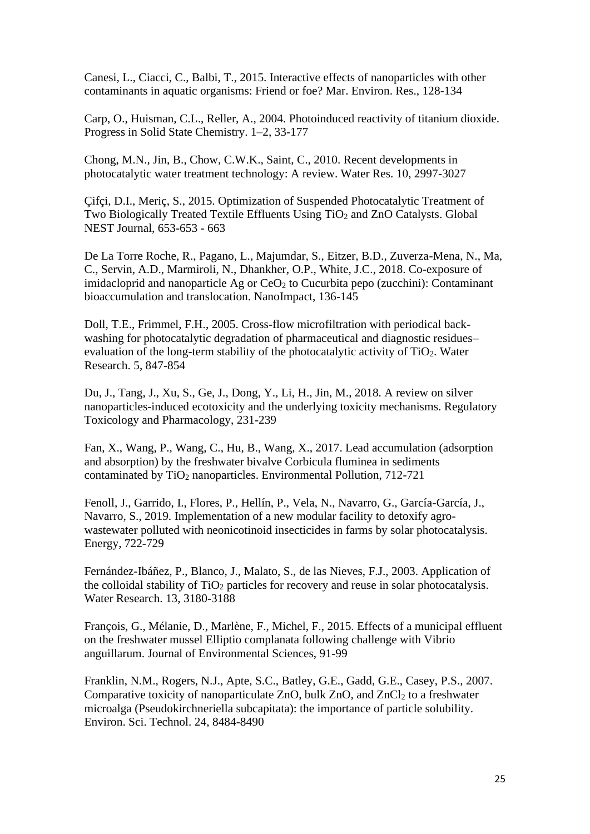Canesi, L., Ciacci, C., Balbi, T., 2015. Interactive effects of nanoparticles with other contaminants in aquatic organisms: Friend or foe? Mar. Environ. Res., 128-134

Carp, O., Huisman, C.L., Reller, A., 2004. Photoinduced reactivity of titanium dioxide. Progress in Solid State Chemistry. 1–2, 33-177

Chong, M.N., Jin, B., Chow, C.W.K., Saint, C., 2010. Recent developments in photocatalytic water treatment technology: A review. Water Res. 10, 2997-3027

Çifçi, D.I., Meriç, S., 2015. Optimization of Suspended Photocatalytic Treatment of Two Biologically Treated Textile Effluents Using TiO<sub>2</sub> and ZnO Catalysts. Global NEST Journal, 653-653 - 663

De La Torre Roche, R., Pagano, L., Majumdar, S., Eitzer, B.D., Zuverza-Mena, N., Ma, C., Servin, A.D., Marmiroli, N., Dhankher, O.P., White, J.C., 2018. Co-exposure of imidacloprid and nanoparticle Ag or  $CeO<sub>2</sub>$  to Cucurbita pepo (zucchini): Contaminant bioaccumulation and translocation. NanoImpact, 136-145

Doll, T.E., Frimmel, F.H., 2005. Cross-flow microfiltration with periodical backwashing for photocatalytic degradation of pharmaceutical and diagnostic residues– evaluation of the long-term stability of the photocatalytic activity of  $TiO<sub>2</sub>$ . Water Research. 5, 847-854

Du, J., Tang, J., Xu, S., Ge, J., Dong, Y., Li, H., Jin, M., 2018. A review on silver nanoparticles-induced ecotoxicity and the underlying toxicity mechanisms. Regulatory Toxicology and Pharmacology, 231-239

Fan, X., Wang, P., Wang, C., Hu, B., Wang, X., 2017. Lead accumulation (adsorption and absorption) by the freshwater bivalve Corbicula fluminea in sediments contaminated by  $TiO<sub>2</sub>$  nanoparticles. Environmental Pollution, 712-721

Fenoll, J., Garrido, I., Flores, P., Hellín, P., Vela, N., Navarro, G., García-García, J., Navarro, S., 2019. Implementation of a new modular facility to detoxify agrowastewater polluted with neonicotinoid insecticides in farms by solar photocatalysis. Energy, 722-729

Fernández-Ibáñez, P., Blanco, J., Malato, S., de las Nieves, F.J., 2003. Application of the colloidal stability of  $TiO<sub>2</sub>$  particles for recovery and reuse in solar photocatalysis. Water Research. 13, 3180-3188

François, G., Mélanie, D., Marlène, F., Michel, F., 2015. Effects of a municipal effluent on the freshwater mussel Elliptio complanata following challenge with Vibrio anguillarum. Journal of Environmental Sciences, 91-99

Franklin, N.M., Rogers, N.J., Apte, S.C., Batley, G.E., Gadd, G.E., Casey, P.S., 2007. Comparative toxicity of nanoparticulate ZnO, bulk  $ZnO$ , and  $ZnCl<sub>2</sub>$  to a freshwater microalga (Pseudokirchneriella subcapitata): the importance of particle solubility. Environ. Sci. Technol. 24, 8484-8490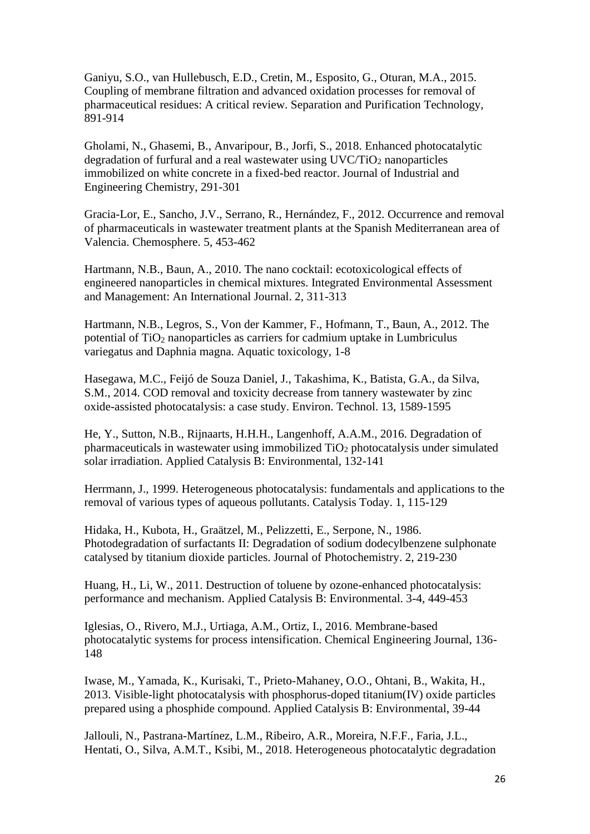Ganiyu, S.O., van Hullebusch, E.D., Cretin, M., Esposito, G., Oturan, M.A., 2015. Coupling of membrane filtration and advanced oxidation processes for removal of pharmaceutical residues: A critical review. Separation and Purification Technology, 891-914

Gholami, N., Ghasemi, B., Anvaripour, B., Jorfi, S., 2018. Enhanced photocatalytic degradation of furfural and a real wastewater using  $UVC/TiO<sub>2</sub>$  nanoparticles immobilized on white concrete in a fixed-bed reactor. Journal of Industrial and Engineering Chemistry, 291-301

Gracia-Lor, E., Sancho, J.V., Serrano, R., Hernández, F., 2012. Occurrence and removal of pharmaceuticals in wastewater treatment plants at the Spanish Mediterranean area of Valencia. Chemosphere. 5, 453-462

Hartmann, N.B., Baun, A., 2010. The nano cocktail: ecotoxicological effects of engineered nanoparticles in chemical mixtures. Integrated Environmental Assessment and Management: An International Journal. 2, 311-313

Hartmann, N.B., Legros, S., Von der Kammer, F., Hofmann, T., Baun, A., 2012. The potential of  $TiO<sub>2</sub>$  nanoparticles as carriers for cadmium uptake in Lumbriculus variegatus and Daphnia magna. Aquatic toxicology, 1-8

Hasegawa, M.C., Feijó de Souza Daniel, J., Takashima, K., Batista, G.A., da Silva, S.M., 2014. COD removal and toxicity decrease from tannery wastewater by zinc oxide-assisted photocatalysis: a case study. Environ. Technol. 13, 1589-1595

He, Y., Sutton, N.B., Rijnaarts, H.H.H., Langenhoff, A.A.M., 2016. Degradation of pharmaceuticals in wastewater using immobilized  $TiO<sub>2</sub>$  photocatalysis under simulated solar irradiation. Applied Catalysis B: Environmental, 132-141

Herrmann, J., 1999. Heterogeneous photocatalysis: fundamentals and applications to the removal of various types of aqueous pollutants. Catalysis Today. 1, 115-129

Hidaka, H., Kubota, H., Graätzel, M., Pelizzetti, E., Serpone, N., 1986. Photodegradation of surfactants II: Degradation of sodium dodecylbenzene sulphonate catalysed by titanium dioxide particles. Journal of Photochemistry. 2, 219-230

Huang, H., Li, W., 2011. Destruction of toluene by ozone-enhanced photocatalysis: performance and mechanism. Applied Catalysis B: Environmental. 3-4, 449-453

Iglesias, O., Rivero, M.J., Urtiaga, A.M., Ortiz, I., 2016. Membrane-based photocatalytic systems for process intensification. Chemical Engineering Journal, 136- 148

Iwase, M., Yamada, K., Kurisaki, T., Prieto-Mahaney, O.O., Ohtani, B., Wakita, H., 2013. Visible-light photocatalysis with phosphorus-doped titanium(IV) oxide particles prepared using a phosphide compound. Applied Catalysis B: Environmental, 39-44

Jallouli, N., Pastrana-Martínez, L.M., Ribeiro, A.R., Moreira, N.F.F., Faria, J.L., Hentati, O., Silva, A.M.T., Ksibi, M., 2018. Heterogeneous photocatalytic degradation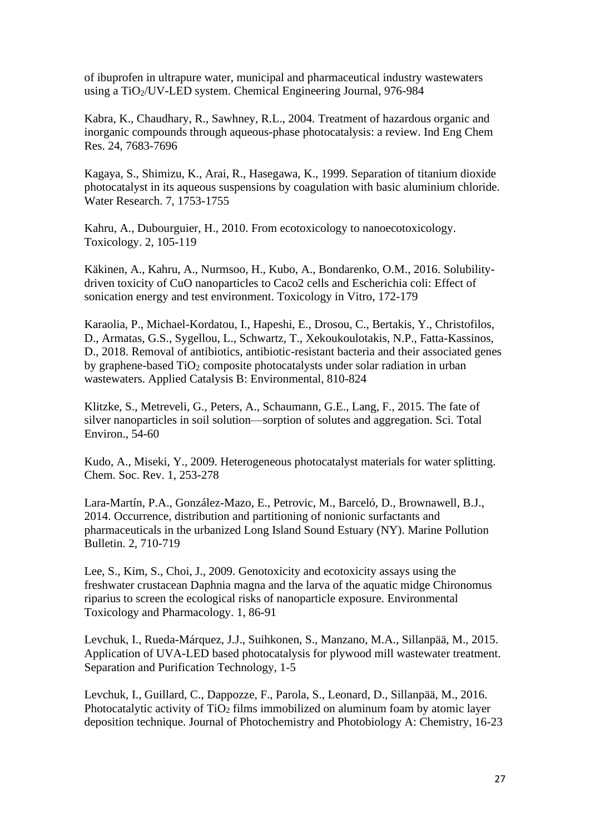of ibuprofen in ultrapure water, municipal and pharmaceutical industry wastewaters using a TiO2/UV-LED system. Chemical Engineering Journal, 976-984

Kabra, K., Chaudhary, R., Sawhney, R.L., 2004. Treatment of hazardous organic and inorganic compounds through aqueous-phase photocatalysis: a review. Ind Eng Chem Res. 24, 7683-7696

Kagaya, S., Shimizu, K., Arai, R., Hasegawa, K., 1999. Separation of titanium dioxide photocatalyst in its aqueous suspensions by coagulation with basic aluminium chloride. Water Research. 7, 1753-1755

Kahru, A., Dubourguier, H., 2010. From ecotoxicology to nanoecotoxicology. Toxicology. 2, 105-119

Käkinen, A., Kahru, A., Nurmsoo, H., Kubo, A., Bondarenko, O.M., 2016. Solubilitydriven toxicity of CuO nanoparticles to Caco2 cells and Escherichia coli: Effect of sonication energy and test environment. Toxicology in Vitro, 172-179

Karaolia, P., Michael-Kordatou, I., Hapeshi, E., Drosou, C., Bertakis, Y., Christofilos, D., Armatas, G.S., Sygellou, L., Schwartz, T., Xekoukoulotakis, N.P., Fatta-Kassinos, D., 2018. Removal of antibiotics, antibiotic-resistant bacteria and their associated genes by graphene-based  $TiO<sub>2</sub>$  composite photocatalysts under solar radiation in urban wastewaters. Applied Catalysis B: Environmental, 810-824

Klitzke, S., Metreveli, G., Peters, A., Schaumann, G.E., Lang, F., 2015. The fate of silver nanoparticles in soil solution—sorption of solutes and aggregation. Sci. Total Environ., 54-60

Kudo, A., Miseki, Y., 2009. Heterogeneous photocatalyst materials for water splitting. Chem. Soc. Rev. 1, 253-278

Lara-Martín, P.A., González-Mazo, E., Petrovic, M., Barceló, D., Brownawell, B.J., 2014. Occurrence, distribution and partitioning of nonionic surfactants and pharmaceuticals in the urbanized Long Island Sound Estuary (NY). Marine Pollution Bulletin. 2, 710-719

Lee, S., Kim, S., Choi, J., 2009. Genotoxicity and ecotoxicity assays using the freshwater crustacean Daphnia magna and the larva of the aquatic midge Chironomus riparius to screen the ecological risks of nanoparticle exposure. Environmental Toxicology and Pharmacology. 1, 86-91

Levchuk, I., Rueda-Márquez, J.J., Suihkonen, S., Manzano, M.A., Sillanpää, M., 2015. Application of UVA-LED based photocatalysis for plywood mill wastewater treatment. Separation and Purification Technology, 1-5

Levchuk, I., Guillard, C., Dappozze, F., Parola, S., Leonard, D., Sillanpää, M., 2016. Photocatalytic activity of  $TiO<sub>2</sub>$  films immobilized on aluminum foam by atomic layer deposition technique. Journal of Photochemistry and Photobiology A: Chemistry, 16-23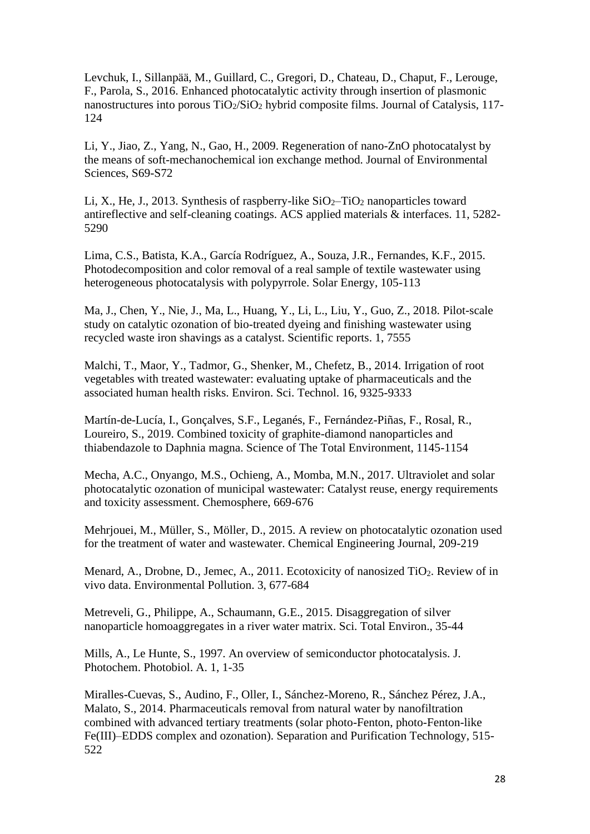Levchuk, I., Sillanpää, M., Guillard, C., Gregori, D., Chateau, D., Chaput, F., Lerouge, F., Parola, S., 2016. Enhanced photocatalytic activity through insertion of plasmonic nanostructures into porous  $TiO<sub>2</sub>/SiO<sub>2</sub>$  hybrid composite films. Journal of Catalysis, 117-124

Li, Y., Jiao, Z., Yang, N., Gao, H., 2009. Regeneration of nano-ZnO photocatalyst by the means of soft-mechanochemical ion exchange method. Journal of Environmental Sciences, S69-S72

Li, X., He, J., 2013. Synthesis of raspberry-like  $SiO<sub>2</sub>-TiO<sub>2</sub>$  nanoparticles toward antireflective and self-cleaning coatings. ACS applied materials & interfaces. 11, 5282- 5290

Lima, C.S., Batista, K.A., García Rodríguez, A., Souza, J.R., Fernandes, K.F., 2015. Photodecomposition and color removal of a real sample of textile wastewater using heterogeneous photocatalysis with polypyrrole. Solar Energy, 105-113

Ma, J., Chen, Y., Nie, J., Ma, L., Huang, Y., Li, L., Liu, Y., Guo, Z., 2018. Pilot-scale study on catalytic ozonation of bio-treated dyeing and finishing wastewater using recycled waste iron shavings as a catalyst. Scientific reports. 1, 7555

Malchi, T., Maor, Y., Tadmor, G., Shenker, M., Chefetz, B., 2014. Irrigation of root vegetables with treated wastewater: evaluating uptake of pharmaceuticals and the associated human health risks. Environ. Sci. Technol. 16, 9325-9333

Martín-de-Lucía, I., Gonçalves, S.F., Leganés, F., Fernández-Piñas, F., Rosal, R., Loureiro, S., 2019. Combined toxicity of graphite-diamond nanoparticles and thiabendazole to Daphnia magna. Science of The Total Environment, 1145-1154

Mecha, A.C., Onyango, M.S., Ochieng, A., Momba, M.N., 2017. Ultraviolet and solar photocatalytic ozonation of municipal wastewater: Catalyst reuse, energy requirements and toxicity assessment. Chemosphere, 669-676

Mehrjouei, M., Müller, S., Möller, D., 2015. A review on photocatalytic ozonation used for the treatment of water and wastewater. Chemical Engineering Journal, 209-219

Menard, A., Drobne, D., Jemec, A., 2011. Ecotoxicity of nanosized  $TiO<sub>2</sub>$ . Review of in vivo data. Environmental Pollution. 3, 677-684

Metreveli, G., Philippe, A., Schaumann, G.E., 2015. Disaggregation of silver nanoparticle homoaggregates in a river water matrix. Sci. Total Environ., 35-44

Mills, A., Le Hunte, S., 1997. An overview of semiconductor photocatalysis. J. Photochem. Photobiol. A. 1, 1-35

Miralles-Cuevas, S., Audino, F., Oller, I., Sánchez-Moreno, R., Sánchez Pérez, J.A., Malato, S., 2014. Pharmaceuticals removal from natural water by nanofiltration combined with advanced tertiary treatments (solar photo-Fenton, photo-Fenton-like Fe(III)–EDDS complex and ozonation). Separation and Purification Technology, 515- 522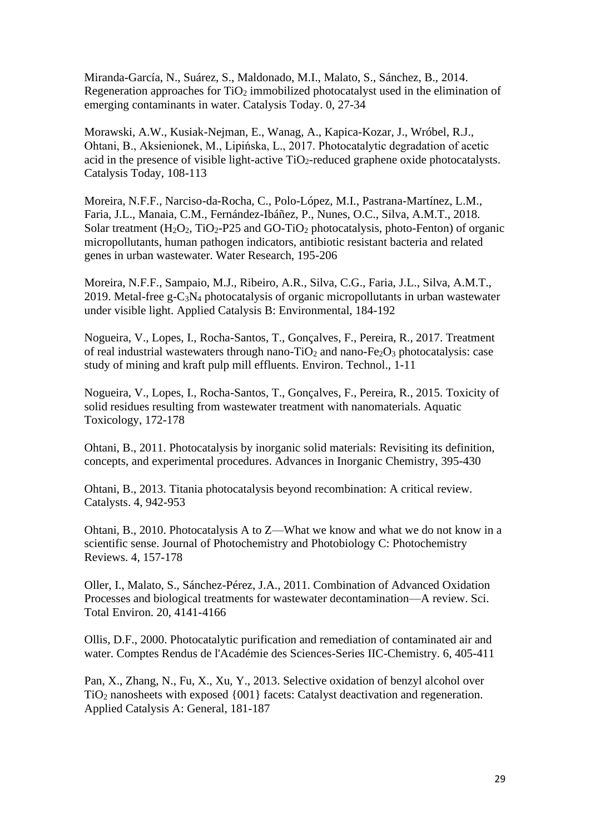Miranda-García, N., Suárez, S., Maldonado, M.I., Malato, S., Sánchez, B., 2014. Regeneration approaches for  $TiO<sub>2</sub>$  immobilized photocatalyst used in the elimination of emerging contaminants in water. Catalysis Today. 0, 27-34

Morawski, A.W., Kusiak-Nejman, E., Wanag, A., Kapica-Kozar, J., Wróbel, R.J., Ohtani, B., Aksienionek, M., Lipińska, L., 2017. Photocatalytic degradation of acetic acid in the presence of visible light-active  $TiO<sub>2</sub>$ -reduced graphene oxide photocatalysts. Catalysis Today, 108-113

Moreira, N.F.F., Narciso-da-Rocha, C., Polo-López, M.I., Pastrana-Martínez, L.M., Faria, J.L., Manaia, C.M., Fernández-Ibáñez, P., Nunes, O.C., Silva, A.M.T., 2018. Solar treatment  $(H_2O_2, TiO_2-P25$  and GO-TiO<sub>2</sub> photocatalysis, photo-Fenton) of organic micropollutants, human pathogen indicators, antibiotic resistant bacteria and related genes in urban wastewater. Water Research, 195-206

Moreira, N.F.F., Sampaio, M.J., Ribeiro, A.R., Silva, C.G., Faria, J.L., Silva, A.M.T., 2019. Metal-free  $g - C_3N_4$  photocatalysis of organic micropollutants in urban wastewater under visible light. Applied Catalysis B: Environmental, 184-192

Nogueira, V., Lopes, I., Rocha-Santos, T., Gonçalves, F., Pereira, R., 2017. Treatment of real industrial wastewaters through nano-TiO<sub>2</sub> and nano-Fe<sub>2</sub>O<sub>3</sub> photocatalysis: case study of mining and kraft pulp mill effluents. Environ. Technol., 1-11

Nogueira, V., Lopes, I., Rocha-Santos, T., Gonçalves, F., Pereira, R., 2015. Toxicity of solid residues resulting from wastewater treatment with nanomaterials. Aquatic Toxicology, 172-178

Ohtani, B., 2011. Photocatalysis by inorganic solid materials: Revisiting its definition, concepts, and experimental procedures. Advances in Inorganic Chemistry, 395-430

Ohtani, B., 2013. Titania photocatalysis beyond recombination: A critical review. Catalysts. 4, 942-953

Ohtani, B., 2010. Photocatalysis A to Z—What we know and what we do not know in a scientific sense. Journal of Photochemistry and Photobiology C: Photochemistry Reviews. 4, 157-178

Oller, I., Malato, S., Sánchez-Pérez, J.A., 2011. Combination of Advanced Oxidation Processes and biological treatments for wastewater decontamination—A review. Sci. Total Environ. 20, 4141-4166

Ollis, D.F., 2000. Photocatalytic purification and remediation of contaminated air and water. Comptes Rendus de l'Académie des Sciences-Series IIC-Chemistry. 6, 405-411

Pan, X., Zhang, N., Fu, X., Xu, Y., 2013. Selective oxidation of benzyl alcohol over TiO<sup>2</sup> nanosheets with exposed {001} facets: Catalyst deactivation and regeneration. Applied Catalysis A: General, 181-187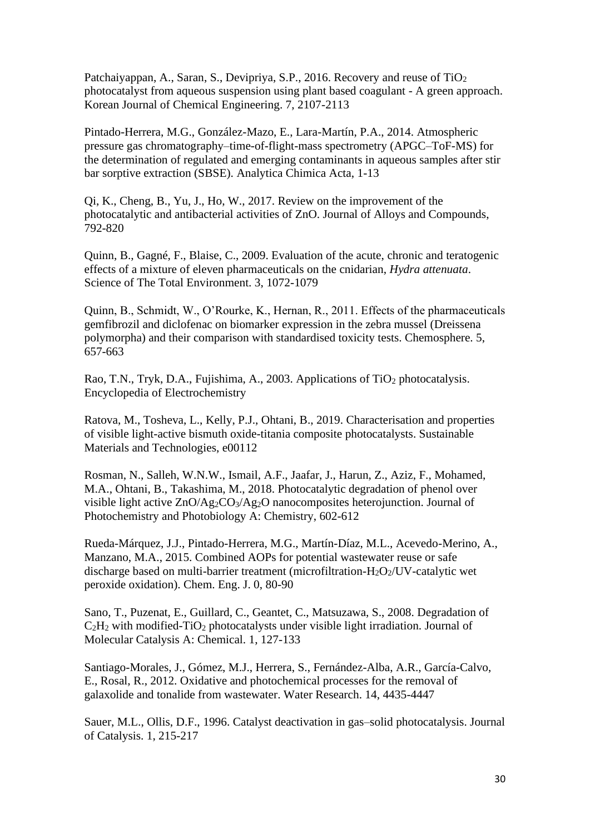Patchaiyappan, A., Saran, S., Devipriya, S.P., 2016. Recovery and reuse of TiO<sub>2</sub> photocatalyst from aqueous suspension using plant based coagulant - A green approach. Korean Journal of Chemical Engineering. 7, 2107-2113

Pintado-Herrera, M.G., González-Mazo, E., Lara-Martín, P.A., 2014. Atmospheric pressure gas chromatography–time-of-flight-mass spectrometry (APGC–ToF-MS) for the determination of regulated and emerging contaminants in aqueous samples after stir bar sorptive extraction (SBSE). Analytica Chimica Acta, 1-13

Qi, K., Cheng, B., Yu, J., Ho, W., 2017. Review on the improvement of the photocatalytic and antibacterial activities of ZnO. Journal of Alloys and Compounds, 792-820

Quinn, B., Gagné, F., Blaise, C., 2009. Evaluation of the acute, chronic and teratogenic effects of a mixture of eleven pharmaceuticals on the cnidarian, *Hydra attenuata*. Science of The Total Environment. 3, 1072-1079

Quinn, B., Schmidt, W., O'Rourke, K., Hernan, R., 2011. Effects of the pharmaceuticals gemfibrozil and diclofenac on biomarker expression in the zebra mussel (Dreissena polymorpha) and their comparison with standardised toxicity tests. Chemosphere. 5, 657-663

Rao, T.N., Tryk, D.A., Fujishima, A., 2003. Applications of TiO<sub>2</sub> photocatalysis. Encyclopedia of Electrochemistry

Ratova, M., Tosheva, L., Kelly, P.J., Ohtani, B., 2019. Characterisation and properties of visible light-active bismuth oxide-titania composite photocatalysts. Sustainable Materials and Technologies, e00112

Rosman, N., Salleh, W.N.W., Ismail, A.F., Jaafar, J., Harun, Z., Aziz, F., Mohamed, M.A., Ohtani, B., Takashima, M., 2018. Photocatalytic degradation of phenol over visible light active ZnO/Ag2CO3/Ag2O nanocomposites heterojunction. Journal of Photochemistry and Photobiology A: Chemistry, 602-612

Rueda-Márquez, J.J., Pintado-Herrera, M.G., Martín-Díaz, M.L., Acevedo-Merino, A., Manzano, M.A., 2015. Combined AOPs for potential wastewater reuse or safe discharge based on multi-barrier treatment (microfiltration- $H_2O_2$ /UV-catalytic wet peroxide oxidation). Chem. Eng. J. 0, 80-90

Sano, T., Puzenat, E., Guillard, C., Geantet, C., Matsuzawa, S., 2008. Degradation of  $C_2H_2$  with modified-TiO<sub>2</sub> photocatalysts under visible light irradiation. Journal of Molecular Catalysis A: Chemical. 1, 127-133

Santiago-Morales, J., Gómez, M.J., Herrera, S., Fernández-Alba, A.R., García-Calvo, E., Rosal, R., 2012. Oxidative and photochemical processes for the removal of galaxolide and tonalide from wastewater. Water Research. 14, 4435-4447

Sauer, M.L., Ollis, D.F., 1996. Catalyst deactivation in gas–solid photocatalysis. Journal of Catalysis. 1, 215-217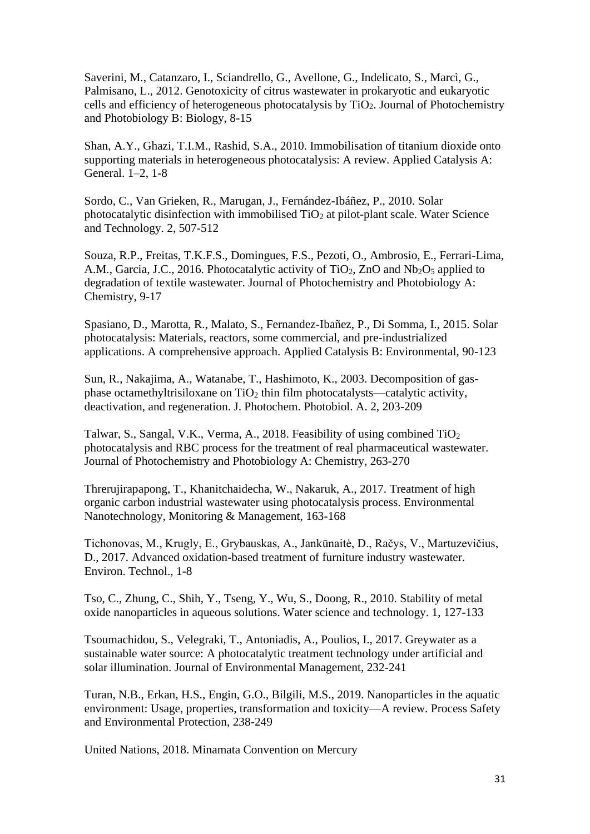Saverini, M., Catanzaro, I., Sciandrello, G., Avellone, G., Indelicato, S., Marcì, G., Palmisano, L., 2012. Genotoxicity of citrus wastewater in prokaryotic and eukaryotic cells and efficiency of heterogeneous photocatalysis by  $TiO<sub>2</sub>$ . Journal of Photochemistry and Photobiology B: Biology, 8-15

Shan, A.Y., Ghazi, T.I.M., Rashid, S.A., 2010. Immobilisation of titanium dioxide onto supporting materials in heterogeneous photocatalysis: A review. Applied Catalysis A: General. 1–2, 1-8

Sordo, C., Van Grieken, R., Marugan, J., Fernández-Ibáñez, P., 2010. Solar photocatalytic disinfection with immobilised  $TiO<sub>2</sub>$  at pilot-plant scale. Water Science and Technology. 2, 507-512

Souza, R.P., Freitas, T.K.F.S., Domingues, F.S., Pezoti, O., Ambrosio, E., Ferrari-Lima, A.M., Garcia, J.C., 2016. Photocatalytic activity of  $TiO<sub>2</sub>$ , ZnO and Nb<sub>2</sub>O<sub>5</sub> applied to degradation of textile wastewater. Journal of Photochemistry and Photobiology A: Chemistry, 9-17

Spasiano, D., Marotta, R., Malato, S., Fernandez-Ibañez, P., Di Somma, I., 2015. Solar photocatalysis: Materials, reactors, some commercial, and pre-industrialized applications. A comprehensive approach. Applied Catalysis B: Environmental, 90-123

Sun, R., Nakajima, A., Watanabe, T., Hashimoto, K., 2003. Decomposition of gasphase octamethyltrisiloxane on  $TiO<sub>2</sub>$  thin film photocatalysts—catalytic activity, deactivation, and regeneration. J. Photochem. Photobiol. A. 2, 203-209

Talwar, S., Sangal, V.K., Verma, A., 2018. Feasibility of using combined TiO<sup>2</sup> photocatalysis and RBC process for the treatment of real pharmaceutical wastewater. Journal of Photochemistry and Photobiology A: Chemistry, 263-270

Threrujirapapong, T., Khanitchaidecha, W., Nakaruk, A., 2017. Treatment of high organic carbon industrial wastewater using photocatalysis process. Environmental Nanotechnology, Monitoring & Management, 163-168

Tichonovas, M., Krugly, E., Grybauskas, A., Jankūnaitė, D., Račys, V., Martuzevičius, D., 2017. Advanced oxidation-based treatment of furniture industry wastewater. Environ. Technol., 1-8

Tso, C., Zhung, C., Shih, Y., Tseng, Y., Wu, S., Doong, R., 2010. Stability of metal oxide nanoparticles in aqueous solutions. Water science and technology. 1, 127-133

Tsoumachidou, S., Velegraki, T., Antoniadis, A., Poulios, I., 2017. Greywater as a sustainable water source: A photocatalytic treatment technology under artificial and solar illumination. Journal of Environmental Management, 232-241

Turan, N.B., Erkan, H.S., Engin, G.O., Bilgili, M.S., 2019. Nanoparticles in the aquatic environment: Usage, properties, transformation and toxicity—A review. Process Safety and Environmental Protection, 238-249

United Nations, 2018. Minamata Convention on Mercury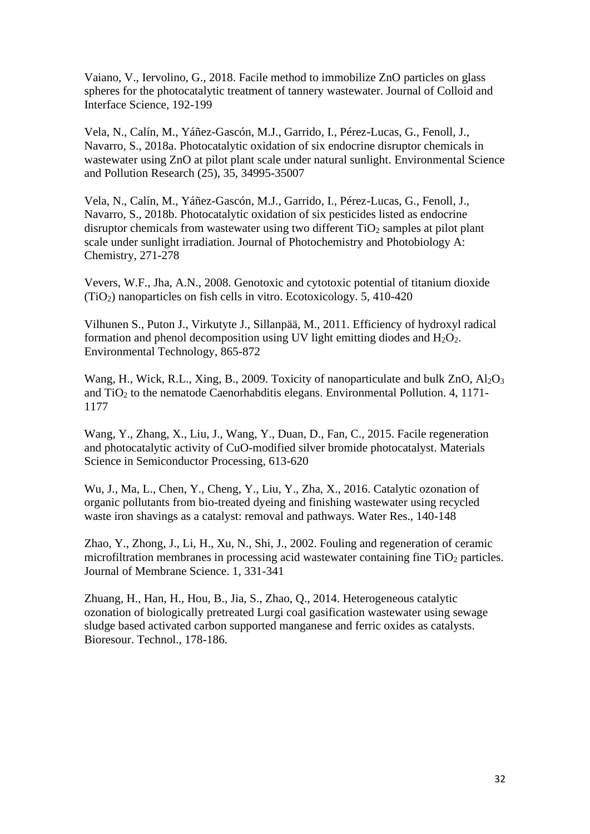Vaiano, V., Iervolino, G., 2018. Facile method to immobilize ZnO particles on glass spheres for the photocatalytic treatment of tannery wastewater. Journal of Colloid and Interface Science, 192-199

Vela, N., Calín, M., Yáñez-Gascón, M.J., Garrido, I., Pérez-Lucas, G., Fenoll, J., Navarro, S., 2018a. Photocatalytic oxidation of six endocrine disruptor chemicals in wastewater using ZnO at pilot plant scale under natural sunlight. Environmental Science and Pollution Research (25), 35, 34995-35007

Vela, N., Calín, M., Yáñez-Gascón, M.J., Garrido, I., Pérez-Lucas, G., Fenoll, J., Navarro, S., 2018b. Photocatalytic oxidation of six pesticides listed as endocrine disruptor chemicals from wastewater using two different  $TiO<sub>2</sub>$  samples at pilot plant scale under sunlight irradiation. Journal of Photochemistry and Photobiology A: Chemistry, 271-278

Vevers, W.F., Jha, A.N., 2008. Genotoxic and cytotoxic potential of titanium dioxide (TiO2) nanoparticles on fish cells in vitro. Ecotoxicology. 5, 410-420

Vilhunen S., Puton J., Virkutyte J., Sillanpää, M., 2011. Efficiency of hydroxyl radical formation and phenol decomposition using UV light emitting diodes and  $H_2O_2$ . Environmental Technology, 865-872

Wang, H., Wick, R.L., Xing, B., 2009. Toxicity of nanoparticulate and bulk  $ZnO$ ,  $Al_2O_3$ and  $TiO<sub>2</sub>$  to the nematode Caenorhabditis elegans. Environmental Pollution. 4, 1171-1177

Wang, Y., Zhang, X., Liu, J., Wang, Y., Duan, D., Fan, C., 2015. Facile regeneration and photocatalytic activity of CuO-modified silver bromide photocatalyst. Materials Science in Semiconductor Processing, 613-620

Wu, J., Ma, L., Chen, Y., Cheng, Y., Liu, Y., Zha, X., 2016. Catalytic ozonation of organic pollutants from bio-treated dyeing and finishing wastewater using recycled waste iron shavings as a catalyst: removal and pathways. Water Res., 140-148

Zhao, Y., Zhong, J., Li, H., Xu, N., Shi, J., 2002. Fouling and regeneration of ceramic microfiltration membranes in processing acid wastewater containing fine TiO<sub>2</sub> particles. Journal of Membrane Science. 1, 331-341

Zhuang, H., Han, H., Hou, B., Jia, S., Zhao, Q., 2014. Heterogeneous catalytic ozonation of biologically pretreated Lurgi coal gasification wastewater using sewage sludge based activated carbon supported manganese and ferric oxides as catalysts. Bioresour. Technol., 178-186.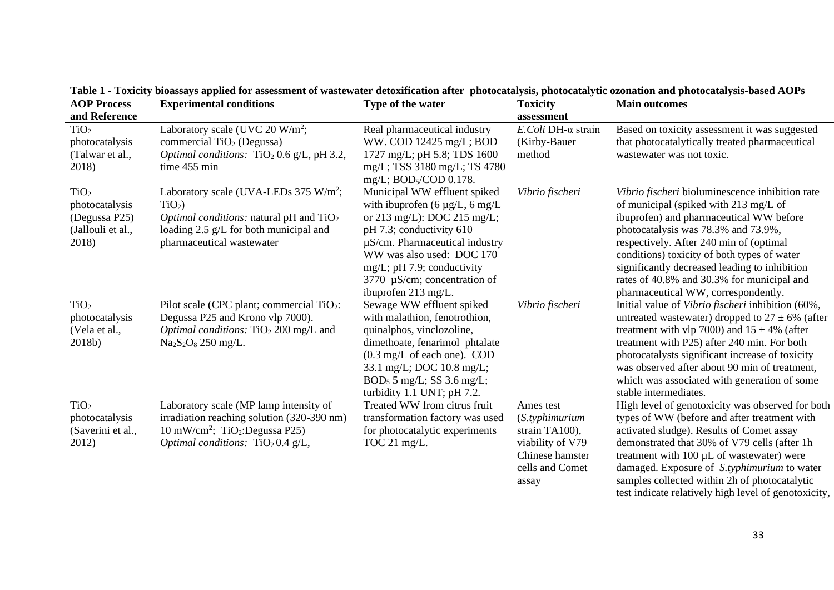| гаэн 1 - толкиу энжээдээ аррики ня аэжээшкиг ог мажмаан исомикацой анкт -рионсандуулж, рионскаагуйс огонаной аш рионсанагуэлжээн АОТ э<br><b>Main outcomes</b><br><b>AOP Process</b> |                                                              |                                         |                    |                                                      |
|--------------------------------------------------------------------------------------------------------------------------------------------------------------------------------------|--------------------------------------------------------------|-----------------------------------------|--------------------|------------------------------------------------------|
|                                                                                                                                                                                      | <b>Experimental conditions</b>                               | Type of the water                       | <b>Toxicity</b>    |                                                      |
| and Reference                                                                                                                                                                        |                                                              |                                         | assessment         |                                                      |
| TiO <sub>2</sub>                                                                                                                                                                     | Laboratory scale (UVC 20 W/m <sup>2</sup> ;                  | Real pharmaceutical industry            | E.Coli DH-α strain | Based on toxicity assessment it was suggested        |
| photocatalysis                                                                                                                                                                       | commercial $TiO2$ (Degussa)                                  | WW. COD 12425 mg/L; BOD                 | (Kirby-Bauer)      | that photocatalytically treated pharmaceutical       |
| (Talwar et al.,                                                                                                                                                                      | <i>Optimal conditions:</i> TiO <sub>2</sub> 0.6 g/L, pH 3.2, | 1727 mg/L; pH 5.8; TDS 1600             | method             | wastewater was not toxic.                            |
| 2018)                                                                                                                                                                                | time 455 min                                                 | mg/L; TSS 3180 mg/L; TS 4780            |                    |                                                      |
|                                                                                                                                                                                      |                                                              | mg/L; BOD <sub>5</sub> /COD 0.178.      |                    |                                                      |
| TiO <sub>2</sub>                                                                                                                                                                     | Laboratory scale (UVA-LEDs $375 \text{ W/m}^2$ ;             | Municipal WW effluent spiked            | Vibrio fischeri    | Vibrio fischeri bioluminescence inhibition rate      |
| photocatalysis                                                                                                                                                                       | $TiO2$ )                                                     | with ibuprofen $(6 \mu g/L, 6 \mu g/L)$ |                    | of municipal (spiked with 213 mg/L of                |
| (Degussa P25)                                                                                                                                                                        | <i>Optimal conditions:</i> natural pH and $TiO2$             | or 213 mg/L): DOC 215 mg/L;             |                    | ibuprofen) and pharmaceutical WW before              |
| (Jallouli et al.,                                                                                                                                                                    | loading 2.5 g/L for both municipal and                       | pH 7.3; conductivity 610                |                    | photocatalysis was 78.3% and 73.9%,                  |
| 2018)                                                                                                                                                                                | pharmaceutical wastewater                                    | $\mu$ S/cm. Pharmaceutical industry     |                    | respectively. After 240 min of (optimal)             |
|                                                                                                                                                                                      |                                                              | WW was also used: DOC 170               |                    | conditions) toxicity of both types of water          |
|                                                                                                                                                                                      |                                                              | mg/L; pH 7.9; conductivity              |                    | significantly decreased leading to inhibition        |
|                                                                                                                                                                                      |                                                              | 3770 µS/cm; concentration of            |                    | rates of 40.8% and 30.3% for municipal and           |
|                                                                                                                                                                                      |                                                              | ibuprofen 213 mg/L.                     |                    | pharmaceutical WW, correspondently.                  |
| TiO <sub>2</sub>                                                                                                                                                                     | Pilot scale (CPC plant; commercial TiO <sub>2</sub> :        | Sewage WW effluent spiked               | Vibrio fischeri    | Initial value of Vibrio fischeri inhibition (60%,    |
| photocatalysis                                                                                                                                                                       | Degussa P25 and Krono vlp 7000).                             | with malathion, fenotrothion,           |                    | untreated wastewater) dropped to $27 \pm 6\%$ (after |
| (Vela et al.,                                                                                                                                                                        | <i>Optimal conditions:</i> TiO <sub>2</sub> 200 mg/L and     | quinalphos, vinclozoline,               |                    | treatment with vlp 7000) and $15 \pm 4\%$ (after     |
| 2018b)                                                                                                                                                                               | $Na2S2O8 250 mg/L.$                                          | dimethoate, fenarimol phtalate          |                    | treatment with P25) after 240 min. For both          |
|                                                                                                                                                                                      |                                                              | (0.3 mg/L of each one). COD             |                    | photocatalysts significant increase of toxicity      |
|                                                                                                                                                                                      |                                                              | 33.1 mg/L; DOC 10.8 mg/L;               |                    | was observed after about 90 min of treatment,        |
|                                                                                                                                                                                      |                                                              | BOD <sub>5</sub> 5 mg/L; SS 3.6 mg/L;   |                    | which was associated with generation of some         |
|                                                                                                                                                                                      |                                                              | turbidity 1.1 UNT; pH 7.2.              |                    | stable intermediates.                                |
| TiO <sub>2</sub>                                                                                                                                                                     | Laboratory scale (MP lamp intensity of                       | Treated WW from citrus fruit            | Ames test          | High level of genotoxicity was observed for both     |
| photocatalysis                                                                                                                                                                       | irradiation reaching solution (320-390 nm)                   | transformation factory was used         | (S.typhimurium)    | types of WW (before and after treatment with         |
| (Saverini et al.,                                                                                                                                                                    | 10 mW/cm <sup>2</sup> ; TiO <sub>2</sub> :Degussa P25)       | for photocatalytic experiments          | strain TA100),     | activated sludge). Results of Comet assay            |
| 2012)                                                                                                                                                                                | Optimal conditions: TiO <sub>2</sub> 0.4 g/L,                | TOC 21 mg/L.                            | viability of V79   | demonstrated that 30% of V79 cells (after 1h)        |
|                                                                                                                                                                                      |                                                              |                                         | Chinese hamster    |                                                      |
|                                                                                                                                                                                      |                                                              |                                         |                    | treatment with $100 \mu L$ of wastewater) were       |
|                                                                                                                                                                                      |                                                              |                                         | cells and Comet    | damaged. Exposure of S.typhimurium to water          |
|                                                                                                                                                                                      |                                                              |                                         | assay              | samples collected within 2h of photocatalytic        |

**Table 1 - Toxicity bioassays applied for assessment of wastewater detoxification after photocatalysis, photocatalytic ozonation and photocatalysis-based AOPs**

test indicate relatively high level of genotoxicity,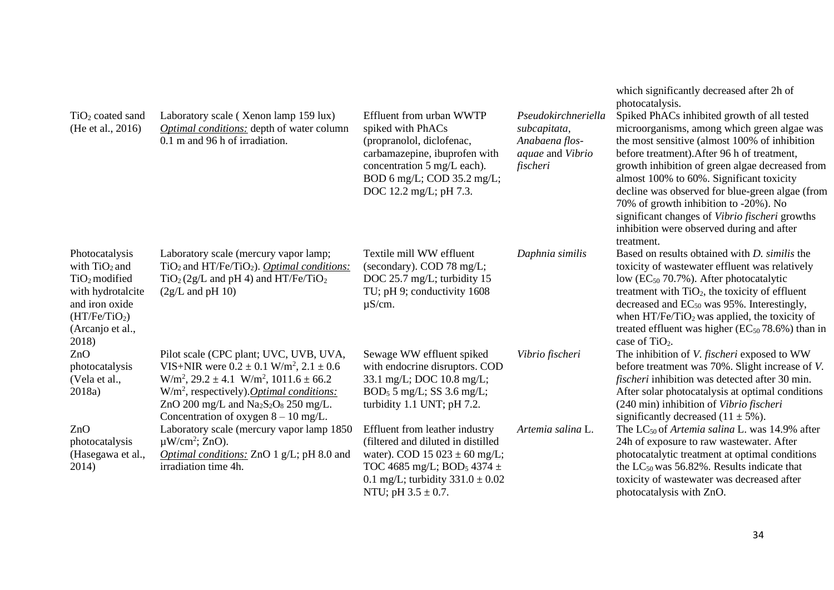| $TiO2$ coated sand<br>(He et al., 2016)                                                                                                               | Laboratory scale (Xenon lamp 159 lux)<br><b>Optimal conditions:</b> depth of water column<br>0.1 m and 96 h of irradiation.                                                                                                                                                                   | Effluent from urban WWTP<br>spiked with PhACs<br>(propranolol, diclofenac,<br>carbamazepine, ibuprofen with<br>concentration 5 mg/L each).<br>BOD 6 mg/L; COD 35.2 mg/L;<br>DOC 12.2 mg/L; pH 7.3.                                   | Pseudokirchneriella<br>subcapitata,<br>Anabaena flos-<br>aquae and Vibrio<br>fischeri | which significantly decreased after 2h of<br>photocatalysis.<br>Spiked PhACs inhibited growth of all tested<br>microorganisms, among which green algae was<br>the most sensitive (almost 100% of inhibition<br>before treatment). After 96 h of treatment,<br>growth inhibition of green algae decreased from<br>almost 100% to 60%. Significant toxicity<br>decline was observed for blue-green algae (from<br>70% of growth inhibition to -20%). No<br>significant changes of Vibrio fischeri growths<br>inhibition were observed during and after<br>treatment. |
|-------------------------------------------------------------------------------------------------------------------------------------------------------|-----------------------------------------------------------------------------------------------------------------------------------------------------------------------------------------------------------------------------------------------------------------------------------------------|--------------------------------------------------------------------------------------------------------------------------------------------------------------------------------------------------------------------------------------|---------------------------------------------------------------------------------------|--------------------------------------------------------------------------------------------------------------------------------------------------------------------------------------------------------------------------------------------------------------------------------------------------------------------------------------------------------------------------------------------------------------------------------------------------------------------------------------------------------------------------------------------------------------------|
| Photocatalysis<br>with $TiO2$ and<br>$TiO2$ modified<br>with hydrotalcite<br>and iron oxide<br>(HT/Fe/TiO <sub>2</sub> )<br>(Arcanjo et al.,<br>2018) | Laboratory scale (mercury vapor lamp;<br>$TiO2$ and HT/Fe/TiO <sub>2</sub> ). <i>Optimal conditions:</i><br>$TiO2(2g/L and pH 4)$ and $HT/Fe/TiO2$<br>$(2g/L \text{ and } pH 10)$                                                                                                             | Textile mill WW effluent<br>(secondary). COD 78 mg/L;<br>DOC 25.7 mg/L; turbidity 15<br>TU; pH 9; conductivity 1608<br>$\mu$ S/cm.                                                                                                   | Daphnia similis                                                                       | Based on results obtained with <i>D</i> . <i>similis</i> the<br>toxicity of wastewater effluent was relatively<br>low ( $EC_{50}$ 70.7%). After photocatalytic<br>treatment with $TiO2$ , the toxicity of effluent<br>decreased and EC <sub>50</sub> was 95%. Interestingly,<br>when $HT/Fe/TiO2$ was applied, the toxicity of<br>treated effluent was higher $(EC_{50} 78.6%)$ than in<br>case of TiO <sub>2</sub> .                                                                                                                                              |
| ZnO<br>photocatalysis<br>(Vela et al.,<br>2018a)                                                                                                      | Pilot scale (CPC plant; UVC, UVB, UVA,<br>VIS+NIR were $0.2 \pm 0.1$ W/m <sup>2</sup> , $2.1 \pm 0.6$<br>$W/m^2$ , 29.2 ± 4.1 $W/m^2$ , 1011.6 ± 66.2<br>$W/m2$ , respectively). <i>Optimal conditions:</i><br>ZnO 200 mg/L and $Na2S2O8$ 250 mg/L.<br>Concentration of oxygen $8 - 10$ mg/L. | Sewage WW effluent spiked<br>with endocrine disruptors. COD<br>33.1 mg/L; DOC 10.8 mg/L;<br>$BOD_5$ 5 mg/L; SS 3.6 mg/L;<br>turbidity 1.1 UNT; pH 7.2.                                                                               | Vibrio fischeri                                                                       | The inhibition of V. fischeri exposed to WW<br>before treatment was 70%. Slight increase of V.<br><i>fischeri</i> inhibition was detected after 30 min.<br>After solar photocatalysis at optimal conditions<br>(240 min) inhibition of Vibrio fischeri<br>significantly decreased $(11 \pm 5\%)$ .                                                                                                                                                                                                                                                                 |
| ZnO<br>photocatalysis<br>(Hasegawa et al.,<br>2014)                                                                                                   | Laboratory scale (mercury vapor lamp 1850<br>$\mu$ W/cm <sup>2</sup> ; ZnO).<br>Optimal conditions: ZnO 1 g/L; pH 8.0 and<br>irradiation time 4h.                                                                                                                                             | Effluent from leather industry<br>(filtered and diluted in distilled<br>water). COD $15\,023 \pm 60\,\text{mg/L}$ ;<br>TOC 4685 mg/L; BOD <sub>5</sub> 4374 $\pm$<br>0.1 mg/L; turbidity $331.0 \pm 0.02$<br>NTU; pH $3.5 \pm 0.7$ . | Artemia salina L.                                                                     | The $LC_{50}$ of Artemia salina L. was 14.9% after<br>24h of exposure to raw wastewater. After<br>photocatalytic treatment at optimal conditions<br>the $LC_{50}$ was 56.82%. Results indicate that<br>toxicity of wastewater was decreased after<br>photocatalysis with ZnO.                                                                                                                                                                                                                                                                                      |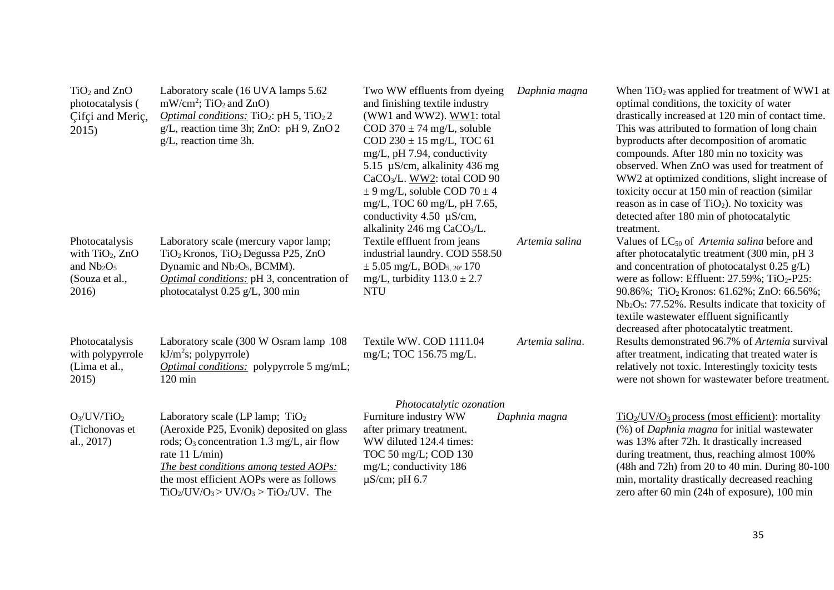| $TiO2$ and $ZnO$<br>photocatalysis (<br>Cifci and Meric,<br>2015                                                                                                                          | Laboratory scale (16 UVA lamps 5.62<br>$mW/cm^2$ ; TiO <sub>2</sub> and ZnO)<br><i>Optimal conditions:</i> TiO <sub>2</sub> : pH 5, TiO <sub>2</sub> 2<br>$g/L$ , reaction time 3h; ZnO: pH 9, ZnO 2<br>$g/L$ , reaction time 3h.        | Two WW effluents from dyeing<br>and finishing textile industry<br>(WW1 and WW2). WW1: total<br>COD $370 \pm 74$ mg/L, soluble<br>COD $230 \pm 15$ mg/L, TOC 61<br>mg/L, pH 7.94, conductivity<br>5.15 $\mu$ S/cm, alkalinity 436 mg<br>CaCO <sub>3</sub> /L. WW2: total COD 90<br>$\pm$ 9 mg/L, soluble COD 70 $\pm$ 4<br>mg/L, TOC 60 mg/L, pH 7.65,<br>conductivity 4.50 $\mu$ S/cm,<br>alkalinity 246 mg CaCO <sub>3</sub> /L. | Daphnia magna   | When $TiO2$ was applied for treatment of WW1 at<br>optimal conditions, the toxicity of water<br>drastically increased at 120 min of contact time.<br>This was attributed to formation of long chain<br>byproducts after decomposition of aromatic<br>compounds. After 180 min no toxicity was<br>observed. When ZnO was used for treatment of<br>WW2 at optimized conditions, slight increase of<br>toxicity occur at 150 min of reaction (similar)<br>reason as in case of $TiO2$ ). No toxicity was<br>detected after 180 min of photocatalytic<br>treatment. |  |
|-------------------------------------------------------------------------------------------------------------------------------------------------------------------------------------------|------------------------------------------------------------------------------------------------------------------------------------------------------------------------------------------------------------------------------------------|-----------------------------------------------------------------------------------------------------------------------------------------------------------------------------------------------------------------------------------------------------------------------------------------------------------------------------------------------------------------------------------------------------------------------------------|-----------------|-----------------------------------------------------------------------------------------------------------------------------------------------------------------------------------------------------------------------------------------------------------------------------------------------------------------------------------------------------------------------------------------------------------------------------------------------------------------------------------------------------------------------------------------------------------------|--|
| Photocatalysis<br>with $TiO2$ , ZnO<br>and $Nb2O5$<br>(Souza et al.,<br>2016)                                                                                                             | Laboratory scale (mercury vapor lamp;<br>TiO <sub>2</sub> Kronos, TiO <sub>2</sub> Degussa P25, ZnO<br>Dynamic and $Nb2O5$ , BCMM).<br>Optimal conditions: pH 3, concentration of<br>photocatalyst 0.25 g/L, 300 min                     | Textile effluent from jeans<br>industrial laundry. COD 558.50<br>$\pm$ 5.05 mg/L, BOD <sub>5, 20</sub> 170<br>mg/L, turbidity $113.0 \pm 2.7$<br><b>NTU</b>                                                                                                                                                                                                                                                                       | Artemia salina  | Values of $LC_{50}$ of <i>Artemia salina</i> before and<br>after photocatalytic treatment (300 min, pH 3)<br>and concentration of photocatalyst $0.25$ g/L)<br>were as follow: Effluent: $27.59\%$ ; TiO <sub>2</sub> -P25:<br>90.86%; TiO <sub>2</sub> Kronos: 61.62%; ZnO: 66.56%;<br>$Nb2O5: 77.52\%$ . Results indicate that toxicity of<br>textile wastewater effluent significantly<br>decreased after photocatalytic treatment.                                                                                                                          |  |
| Photocatalysis<br>with polypyrrole<br>(Lima et al.,<br>2015)                                                                                                                              | Laboratory scale (300 W Osram lamp 108)<br>$kJ/m2s$ ; polypyrrole)<br><i>Optimal conditions:</i> polypyrrole 5 mg/mL;<br>$120 \text{ min}$                                                                                               | Textile WW. COD 1111.04<br>mg/L; TOC 156.75 mg/L.                                                                                                                                                                                                                                                                                                                                                                                 | Artemia salina. | Results demonstrated 96.7% of Artemia survival<br>after treatment, indicating that treated water is<br>relatively not toxic. Interestingly toxicity tests<br>were not shown for wastewater before treatment.                                                                                                                                                                                                                                                                                                                                                    |  |
| Photocatalytic ozonation<br>$O_3$ /UV/TiO <sub>2</sub><br>Laboratory scale (LP lamp; $TiO2$<br>Furniture industry WW<br>$TiO2/UV/O3$ process (most efficient): mortality<br>Daphnia magna |                                                                                                                                                                                                                                          |                                                                                                                                                                                                                                                                                                                                                                                                                                   |                 |                                                                                                                                                                                                                                                                                                                                                                                                                                                                                                                                                                 |  |
| (Tichonovas et<br>al., 2017)                                                                                                                                                              | (Aeroxide P25, Evonik) deposited on glass<br>rods; $O_3$ concentration 1.3 mg/L, air flow<br>rate 11 L/min)<br>The best conditions among tested AOPs:<br>the most efficient AOPs were as follows<br>$TiO2/UV/O3 > UV/O3 > TiO2/UV$ . The | after primary treatment.<br>WW diluted 124.4 times:<br>TOC 50 mg/L; COD 130<br>mg/L; conductivity 186<br>$\mu$ S/cm; pH 6.7                                                                                                                                                                                                                                                                                                       |                 | (%) of Daphnia magna for initial wastewater<br>was 13% after 72h. It drastically increased<br>during treatment, thus, reaching almost 100%<br>(48h and 72h) from 20 to 40 min. During 80-100<br>min, mortality drastically decreased reaching<br>zero after 60 min (24h of exposure), 100 min                                                                                                                                                                                                                                                                   |  |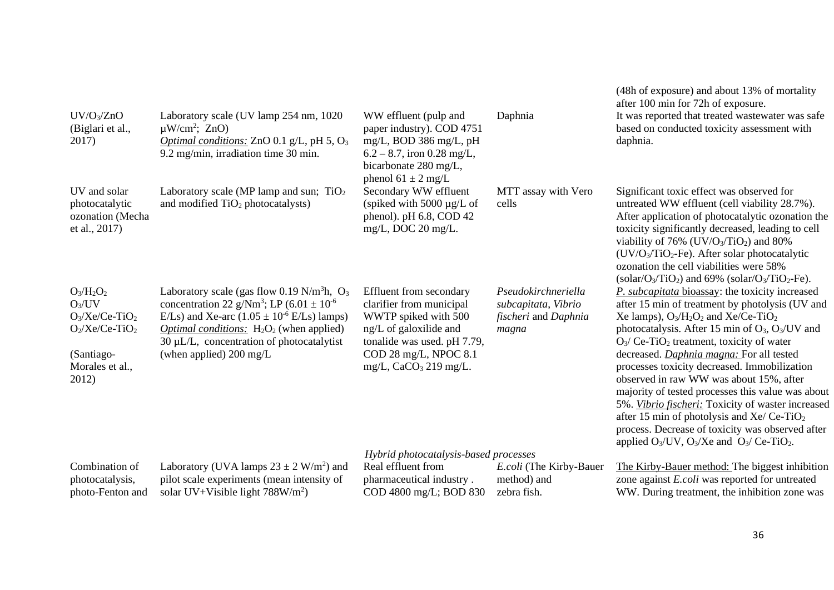| $UV/O_3/ZnO$<br>(Biglari et al.,<br>2017)                                                                                | Laboratory scale (UV lamp 254 nm, 1020)<br>$\mu$ W/cm <sup>2</sup> ; ZnO)<br>Optimal conditions: ZnO 0.1 $g/L$ , pH 5, O <sub>3</sub><br>9.2 mg/min, irradiation time 30 min.                                                                                                                                                          | WW effluent (pulp and<br>paper industry). COD 4751<br>mg/L, BOD 386 mg/L, pH<br>$6.2 - 8.7$ , iron 0.28 mg/L,<br>bicarbonate 280 mg/L,<br>phenol $61 \pm 2$ mg/L                                                                  | Daphnia                                                                     | (48h of exposure) and about 13% of mortality<br>after 100 min for 72h of exposure.<br>It was reported that treated wastewater was safe<br>based on conducted toxicity assessment with<br>daphnia.                                                                                                                                                                                                                                                                                                                                                                                                                                                                                                                             |
|--------------------------------------------------------------------------------------------------------------------------|----------------------------------------------------------------------------------------------------------------------------------------------------------------------------------------------------------------------------------------------------------------------------------------------------------------------------------------|-----------------------------------------------------------------------------------------------------------------------------------------------------------------------------------------------------------------------------------|-----------------------------------------------------------------------------|-------------------------------------------------------------------------------------------------------------------------------------------------------------------------------------------------------------------------------------------------------------------------------------------------------------------------------------------------------------------------------------------------------------------------------------------------------------------------------------------------------------------------------------------------------------------------------------------------------------------------------------------------------------------------------------------------------------------------------|
| UV and solar<br>photocatalytic<br>ozonation (Mecha<br>et al., 2017)                                                      | Laboratory scale (MP lamp and sun; $TiO2$<br>and modified TiO <sub>2</sub> photocatalysts)                                                                                                                                                                                                                                             | Secondary WW effluent<br>(spiked with 5000 $\mu$ g/L of<br>phenol). $pH$ 6.8, COD 42<br>$mg/L$ , DOC 20 mg/L.                                                                                                                     | MTT assay with Vero<br>cells                                                | Significant toxic effect was observed for<br>untreated WW effluent (cell viability 28.7%).<br>After application of photocatalytic ozonation the<br>toxicity significantly decreased, leading to cell<br>viability of 76% ( $UV/O_3/TiO_2$ ) and 80%<br>$(UV/O3/TiO2-Fe)$ . After solar photocatalytic<br>ozonation the cell viabilities were 58%<br>(solar/ $O_3/TiO_2$ ) and 69% (solar/ $O_3/TiO_2$ -Fe).                                                                                                                                                                                                                                                                                                                   |
| $O_3/H_2O_2$<br>$O_3/UV$<br>$O_3/Xe/Ce-TiO_2$<br>$O_2$ /Xe/Ce-TiO <sub>2</sub><br>(Santiago-<br>Morales et al.,<br>2012) | Laboratory scale (gas flow 0.19 N/m <sup>3</sup> h, $O_3$ )<br>concentration 22 g/Nm <sup>3</sup> ; LP $(6.01 \pm 10^{-6})$<br>E/Ls) and Xe-arc $(1.05 \pm 10^{-6} \text{ E/Ls})$ lamps)<br><i>Optimal conditions:</i> $H_2O_2$ (when applied)<br>$30 \mu L/L$ , concentration of photocatalytist<br>(when applied) $200 \text{ mg/L}$ | Effluent from secondary<br>clarifier from municipal<br>WWTP spiked with 500<br>ng/L of galoxilide and<br>tonalide was used. pH 7.79,<br>COD 28 mg/L, NPOC 8.1<br>mg/L, $CaCO3$ 219 mg/L.<br>Hybrid photocatalysis-based processes | Pseudokirchneriella<br>subcapitata, Vibrio<br>fischeri and Daphnia<br>magna | P. subcapitata bioassay: the toxicity increased<br>after 15 min of treatment by photolysis (UV and<br>Xe lamps), $O_3/H_2O_2$ and Xe/Ce-TiO <sub>2</sub><br>photocatalysis. After 15 min of O <sub>3</sub> , O <sub>3</sub> /UV and<br>$O_3$ Ce-TiO <sub>2</sub> treatment, toxicity of water<br>decreased. Daphnia magna: For all tested<br>processes toxicity decreased. Immobilization<br>observed in raw WW was about 15%, after<br>majority of tested processes this value was about<br>5%. Vibrio fischeri: Toxicity of waster increased<br>after 15 min of photolysis and Xe/ Ce-TiO <sub>2</sub><br>process. Decrease of toxicity was observed after<br>applied $O_3$ /UV, $O_3$ /Xe and $O_3$ /Ce-TiO <sub>2</sub> . |
| Combination of<br>photocatalysis,<br>photo-Fenton and                                                                    | Laboratory (UVA lamps $23 \pm 2$ W/m <sup>2</sup> ) and<br>pilot scale experiments (mean intensity of<br>solar UV+Visible light $788W/m2$ )                                                                                                                                                                                            | Real effluent from<br>pharmaceutical industry.<br>COD 4800 mg/L; BOD 830                                                                                                                                                          | E.coli (The Kirby-Bauer<br>method) and<br>zebra fish.                       | The Kirby-Bauer method: The biggest inhibition<br>zone against <i>E.coli</i> was reported for untreated<br>WW. During treatment, the inhibition zone was                                                                                                                                                                                                                                                                                                                                                                                                                                                                                                                                                                      |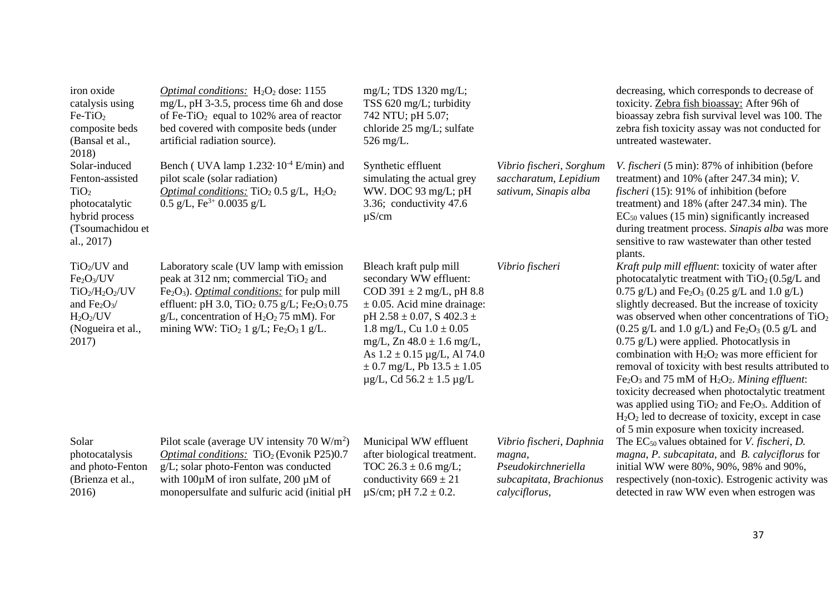| iron oxide<br>catalysis using<br>$Fe-TiO2$<br>composite beds<br>(Bansal et al.,<br>2018)                                            | <i>Optimal conditions:</i> $H_2O_2$ dose: 1155<br>mg/L, pH 3-3.5, process time 6h and dose<br>of Fe-TiO <sub>2</sub> equal to 102% area of reactor<br>bed covered with composite beds (under<br>artificial radiation source).                                                                                                                                                           | $mg/L$ ; TDS 1320 mg/L;<br>TSS 620 mg/L; turbidity<br>742 NTU; pH 5.07;<br>chloride 25 mg/L; sulfate<br>$526 \text{ mg/L}.$                                                                                                                                                                                                             |                                                                                                       | decreasing, which corresponds to decrease of<br>toxicity. Zebra fish bioassay: After 96h of<br>bioassay zebra fish survival level was 100. The<br>zebra fish toxicity assay was not conducted for<br>untreated wastewater.                                                                                                                                                                                                                                                                                                                                                                                                                                                                                                                                                                                                                 |
|-------------------------------------------------------------------------------------------------------------------------------------|-----------------------------------------------------------------------------------------------------------------------------------------------------------------------------------------------------------------------------------------------------------------------------------------------------------------------------------------------------------------------------------------|-----------------------------------------------------------------------------------------------------------------------------------------------------------------------------------------------------------------------------------------------------------------------------------------------------------------------------------------|-------------------------------------------------------------------------------------------------------|--------------------------------------------------------------------------------------------------------------------------------------------------------------------------------------------------------------------------------------------------------------------------------------------------------------------------------------------------------------------------------------------------------------------------------------------------------------------------------------------------------------------------------------------------------------------------------------------------------------------------------------------------------------------------------------------------------------------------------------------------------------------------------------------------------------------------------------------|
| Solar-induced<br>Fenton-assisted<br>TiO <sub>2</sub><br>photocatalytic<br>hybrid process<br>(Tsoumachidou et<br>al., 2017)          | Bench (UVA lamp $1.232 \cdot 10^{-4}$ E/min) and<br>pilot scale (solar radiation)<br><i>Optimal conditions:</i> TiO <sub>2</sub> 0.5 g/L, $H_2O_2$<br>0.5 g/L, $\text{Fe}^{3+}$ 0.0035 g/L                                                                                                                                                                                              | Synthetic effluent<br>simulating the actual grey<br>WW. DOC 93 mg/L; pH<br>3.36; conductivity 47.6<br>$\mu$ S/cm                                                                                                                                                                                                                        | Vibrio fischeri, Sorghum<br>saccharatum, Lepidium<br>sativum, Sinapis alba                            | V. fischeri (5 min): 87% of inhibition (before<br>treatment) and $10\%$ (after 247.34 min); V.<br><i>fischeri</i> (15): 91% of inhibition (before<br>treatment) and 18% (after 247.34 min). The<br>$EC_{50}$ values (15 min) significantly increased<br>during treatment process. Sinapis alba was more<br>sensitive to raw wastewater than other tested<br>plants.                                                                                                                                                                                                                                                                                                                                                                                                                                                                        |
| $TiO2/UV$ and<br>Fe <sub>2</sub> O <sub>3</sub> /UV<br>$TiO2/H2O2/UV$<br>and $Fe2O3$ /<br>$H_2O_2/UV$<br>(Nogueira et al.,<br>2017) | Laboratory scale (UV lamp with emission<br>peak at 312 nm; commercial TiO <sub>2</sub> and<br>$Fe2O3$ ). <i>Optimal conditions:</i> for pulp mill<br>effluent: pH 3.0, TiO <sub>2</sub> 0.75 g/L; Fe <sub>2</sub> O <sub>3</sub> 0.75<br>$g/L$ , concentration of H <sub>2</sub> O <sub>2</sub> 75 mM). For<br>mining WW: TiO <sub>2</sub> 1 g/L; Fe <sub>2</sub> O <sub>3</sub> 1 g/L. | Bleach kraft pulp mill<br>secondary WW effluent:<br>COD 391 $\pm$ 2 mg/L, pH 8.8<br>$\pm$ 0.05. Acid mine drainage:<br>pH 2.58 $\pm$ 0.07, S 402.3 $\pm$<br>1.8 mg/L, Cu $1.0 \pm 0.05$<br>mg/L, Zn $48.0 \pm 1.6$ mg/L,<br>As $1.2 \pm 0.15$ µg/L, Al 74.0<br>$\pm$ 0.7 mg/L, Pb 13.5 $\pm$ 1.05<br>$\mu$ g/L, Cd 56.2 ± 1.5 $\mu$ g/L | Vibrio fischeri                                                                                       | Kraft pulp mill effluent: toxicity of water after<br>photocatalytic treatment with $TiO2(0.5g/L)$ and<br>0.75 g/L) and Fe <sub>2</sub> O <sub>3</sub> (0.25 g/L and 1.0 g/L)<br>slightly decreased. But the increase of toxicity<br>was observed when other concentrations of $TiO2$<br>$(0.25 \text{ g/L} \text{ and } 1.0 \text{ g/L})$ and Fe <sub>2</sub> O <sub>3</sub> (0.5 g/L and<br>$0.75$ g/L) were applied. Photocatlysis in<br>combination with $H_2O_2$ was more efficient for<br>removal of toxicity with best results attributed to<br>$Fe2O3$ and 75 mM of $H2O2$ . Mining effluent:<br>toxicity decreased when photoctalytic treatment<br>was applied using $TiO2$ and Fe <sub>2</sub> O <sub>3</sub> . Addition of<br>$H_2O_2$ led to decrease of toxicity, except in case<br>of 5 min exposure when toxicity increased. |
| Solar<br>photocatalysis<br>and photo-Fenton<br>(Brienza et al.,<br>2016)                                                            | Pilot scale (average UV intensity $70 \text{ W/m}^2$ )<br>Optimal conditions: $TiO2$ (Evonik P25)0.7<br>g/L; solar photo-Fenton was conducted<br>with $100\mu$ M of iron sulfate, 200 $\mu$ M of<br>monopersulfate and sulfuric acid (initial pH)                                                                                                                                       | Municipal WW effluent<br>after biological treatment.<br>TOC $26.3 \pm 0.6$ mg/L;<br>conductivity $669 \pm 21$<br>$\mu$ S/cm; pH 7.2 $\pm$ 0.2.                                                                                                                                                                                          | Vibrio fischeri, Daphnia<br>magna,<br>Pseudokirchneriella<br>subcapitata, Brachionus<br>calyciflorus, | The $EC_{50}$ values obtained for <i>V. fischeri</i> , <i>D.</i><br>magna, P. subcapitata, and B. calyciflorus for<br>initial WW were 80%, 90%, 98% and 90%,<br>respectively (non-toxic). Estrogenic activity was<br>detected in raw WW even when estrogen was                                                                                                                                                                                                                                                                                                                                                                                                                                                                                                                                                                             |